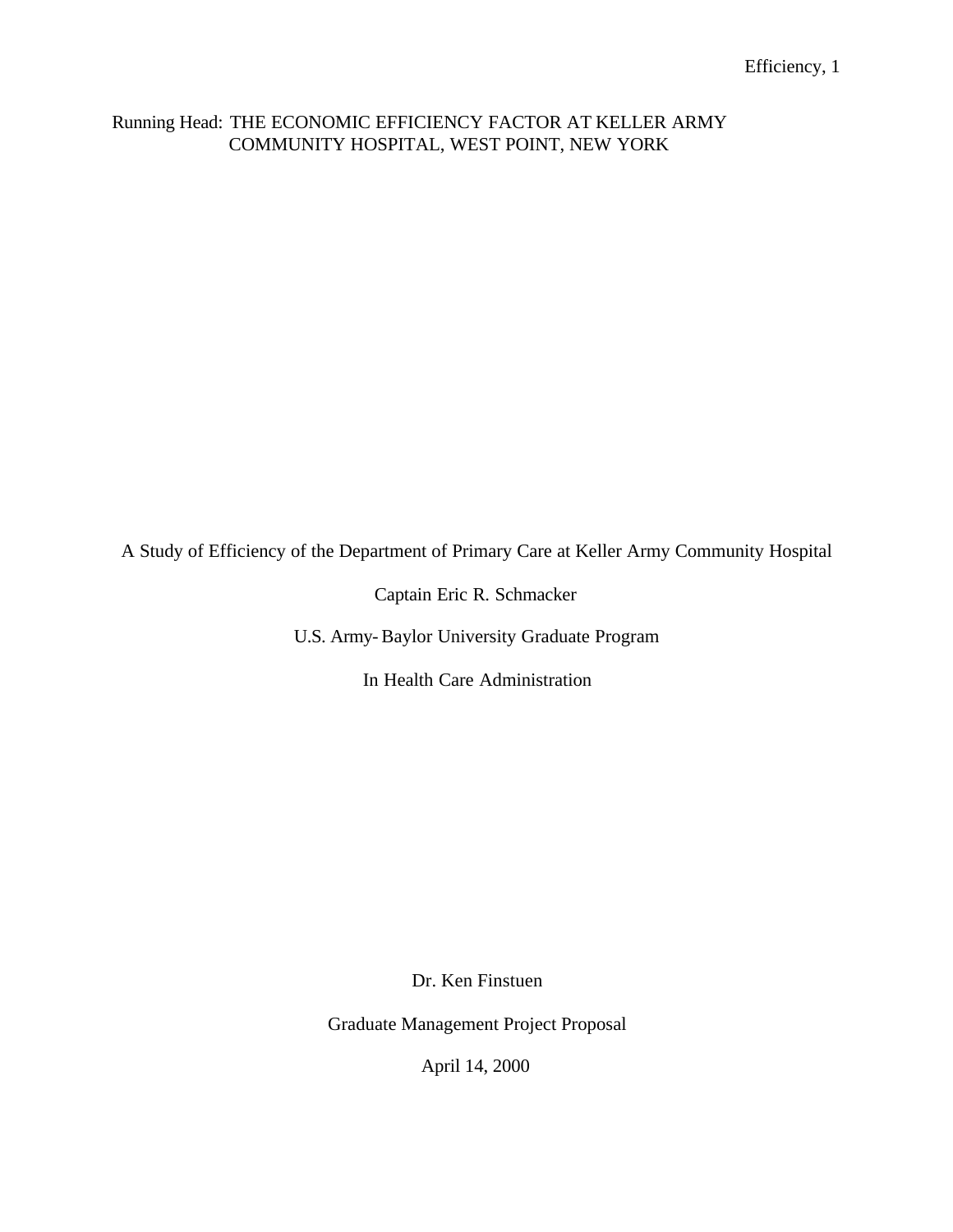## Running Head: THE ECONOMIC EFFICIENCY FACTOR AT KELLER ARMY COMMUNITY HOSPITAL, WEST POINT, NEW YORK

A Study of Efficiency of the Department of Primary Care at Keller Army Community Hospital

Captain Eric R. Schmacker

U.S. Army-Baylor University Graduate Program

In Health Care Administration

Dr. Ken Finstuen

Graduate Management Project Proposal

April 14, 2000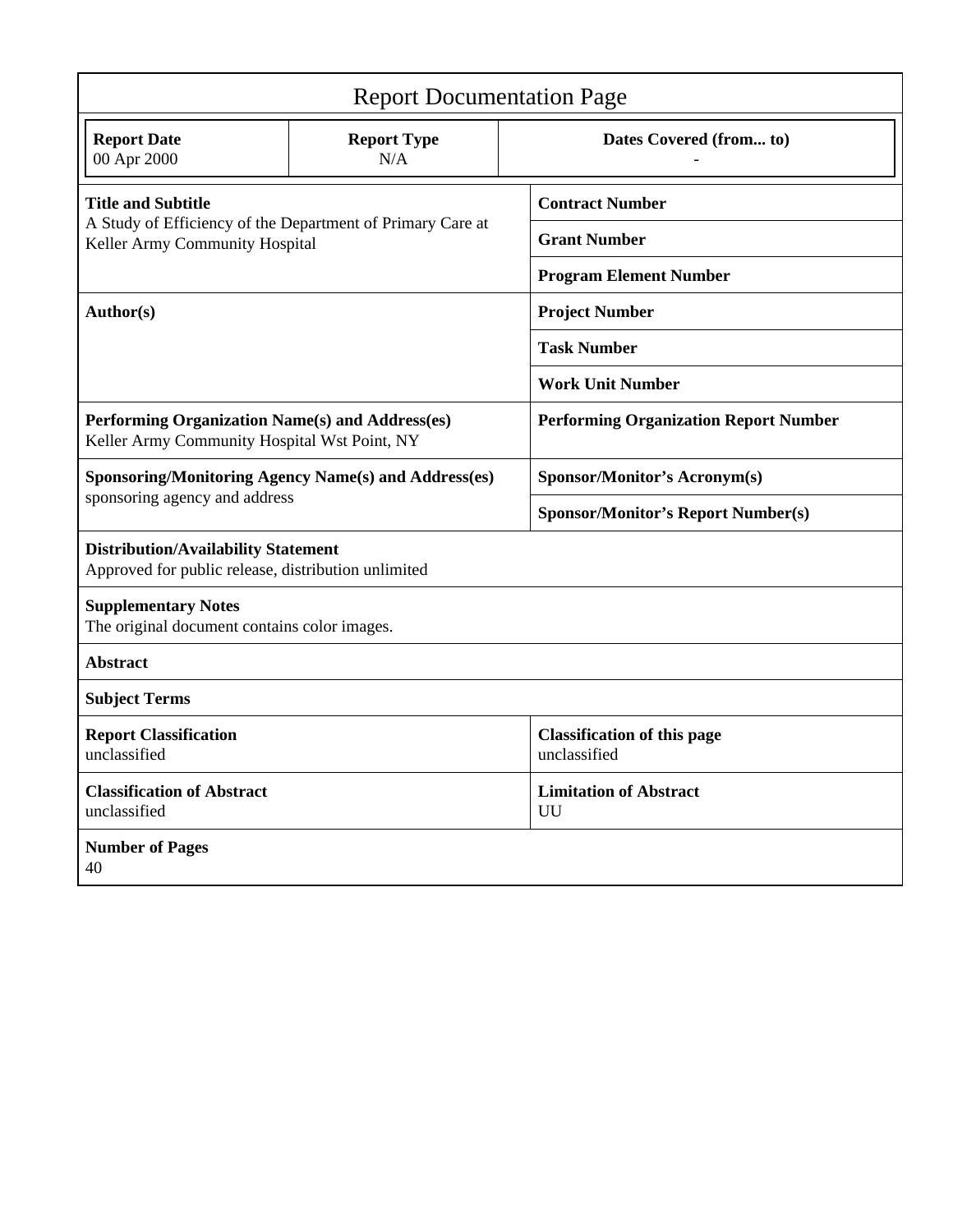| <b>Report Documentation Page</b>                                                                  |                                                             |                                                    |  |  |  |  |  |
|---------------------------------------------------------------------------------------------------|-------------------------------------------------------------|----------------------------------------------------|--|--|--|--|--|
| <b>Report Date</b><br>00 Apr 2000                                                                 | <b>Report Type</b><br>N/A                                   | Dates Covered (from to)                            |  |  |  |  |  |
| <b>Title and Subtitle</b>                                                                         |                                                             | <b>Contract Number</b>                             |  |  |  |  |  |
| Keller Army Community Hospital                                                                    | A Study of Efficiency of the Department of Primary Care at  | <b>Grant Number</b>                                |  |  |  |  |  |
|                                                                                                   |                                                             | <b>Program Element Number</b>                      |  |  |  |  |  |
| Author(s)                                                                                         |                                                             | <b>Project Number</b>                              |  |  |  |  |  |
|                                                                                                   |                                                             | <b>Task Number</b>                                 |  |  |  |  |  |
|                                                                                                   |                                                             | <b>Work Unit Number</b>                            |  |  |  |  |  |
| Performing Organization Name(s) and Address(es)<br>Keller Army Community Hospital Wst Point, NY   |                                                             | <b>Performing Organization Report Number</b>       |  |  |  |  |  |
|                                                                                                   | <b>Sponsoring/Monitoring Agency Name(s) and Address(es)</b> | <b>Sponsor/Monitor's Acronym(s)</b>                |  |  |  |  |  |
| sponsoring agency and address                                                                     |                                                             | <b>Sponsor/Monitor's Report Number(s)</b>          |  |  |  |  |  |
| <b>Distribution/Availability Statement</b><br>Approved for public release, distribution unlimited |                                                             |                                                    |  |  |  |  |  |
| <b>Supplementary Notes</b><br>The original document contains color images.                        |                                                             |                                                    |  |  |  |  |  |
| <b>Abstract</b>                                                                                   |                                                             |                                                    |  |  |  |  |  |
| <b>Subject Terms</b>                                                                              |                                                             |                                                    |  |  |  |  |  |
| <b>Report Classification</b><br>unclassified                                                      |                                                             | <b>Classification of this page</b><br>unclassified |  |  |  |  |  |
| <b>Classification of Abstract</b><br>unclassified                                                 |                                                             | <b>Limitation of Abstract</b><br>UU                |  |  |  |  |  |
| <b>Number of Pages</b><br>40                                                                      |                                                             |                                                    |  |  |  |  |  |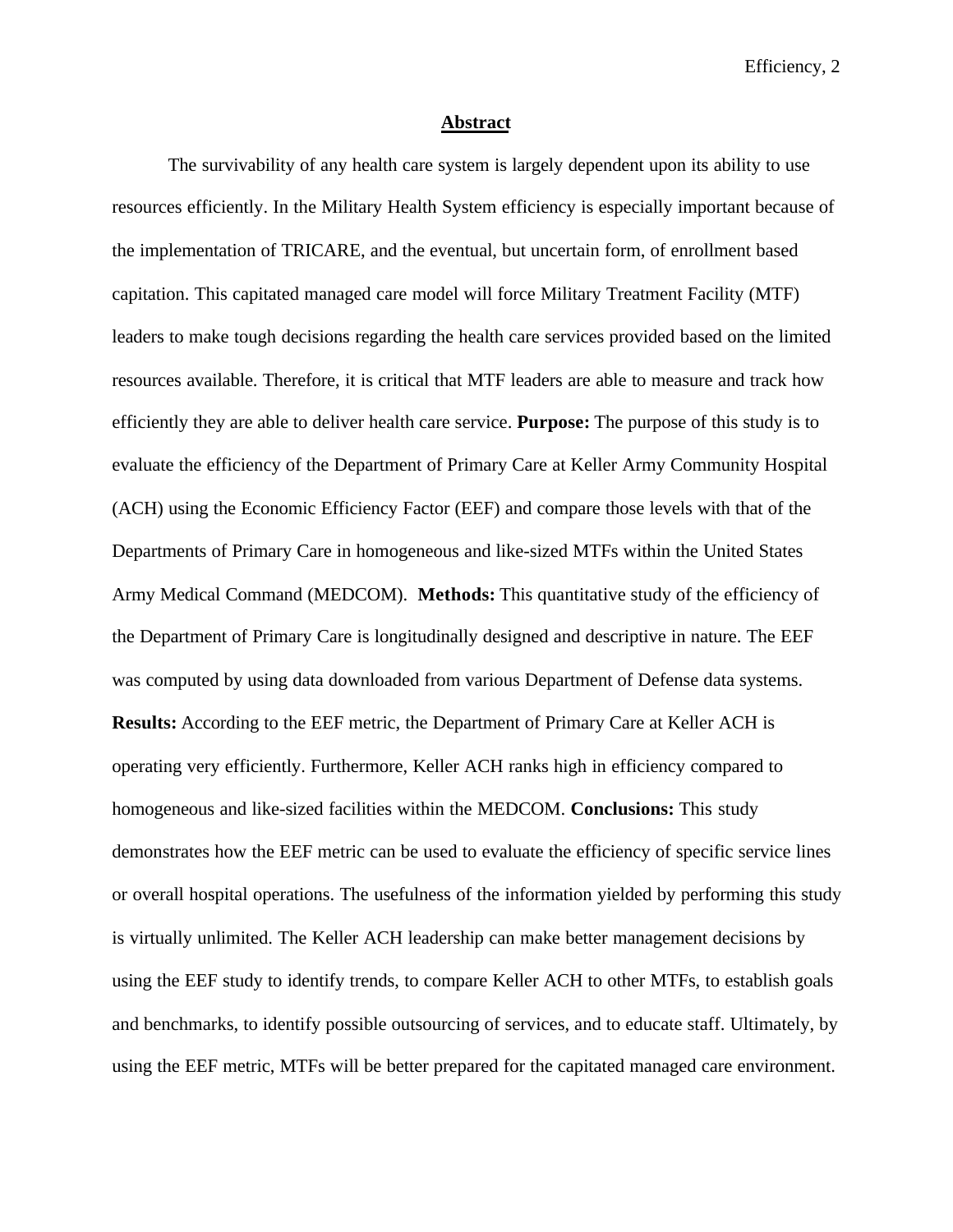#### **Abstract**

The survivability of any health care system is largely dependent upon its ability to use resources efficiently. In the Military Health System efficiency is especially important because of the implementation of TRICARE, and the eventual, but uncertain form, of enrollment based capitation. This capitated managed care model will force Military Treatment Facility (MTF) leaders to make tough decisions regarding the health care services provided based on the limited resources available. Therefore, it is critical that MTF leaders are able to measure and track how efficiently they are able to deliver health care service. **Purpose:** The purpose of this study is to evaluate the efficiency of the Department of Primary Care at Keller Army Community Hospital (ACH) using the Economic Efficiency Factor (EEF) and compare those levels with that of the Departments of Primary Care in homogeneous and like-sized MTFs within the United States Army Medical Command (MEDCOM). **Methods:** This quantitative study of the efficiency of the Department of Primary Care is longitudinally designed and descriptive in nature. The EEF was computed by using data downloaded from various Department of Defense data systems. **Results:** According to the EEF metric, the Department of Primary Care at Keller ACH is operating very efficiently. Furthermore, Keller ACH ranks high in efficiency compared to homogeneous and like-sized facilities within the MEDCOM. **Conclusions:** This study demonstrates how the EEF metric can be used to evaluate the efficiency of specific service lines or overall hospital operations. The usefulness of the information yielded by performing this study is virtually unlimited. The Keller ACH leadership can make better management decisions by using the EEF study to identify trends, to compare Keller ACH to other MTFs, to establish goals and benchmarks, to identify possible outsourcing of services, and to educate staff. Ultimately, by using the EEF metric, MTFs will be better prepared for the capitated managed care environment.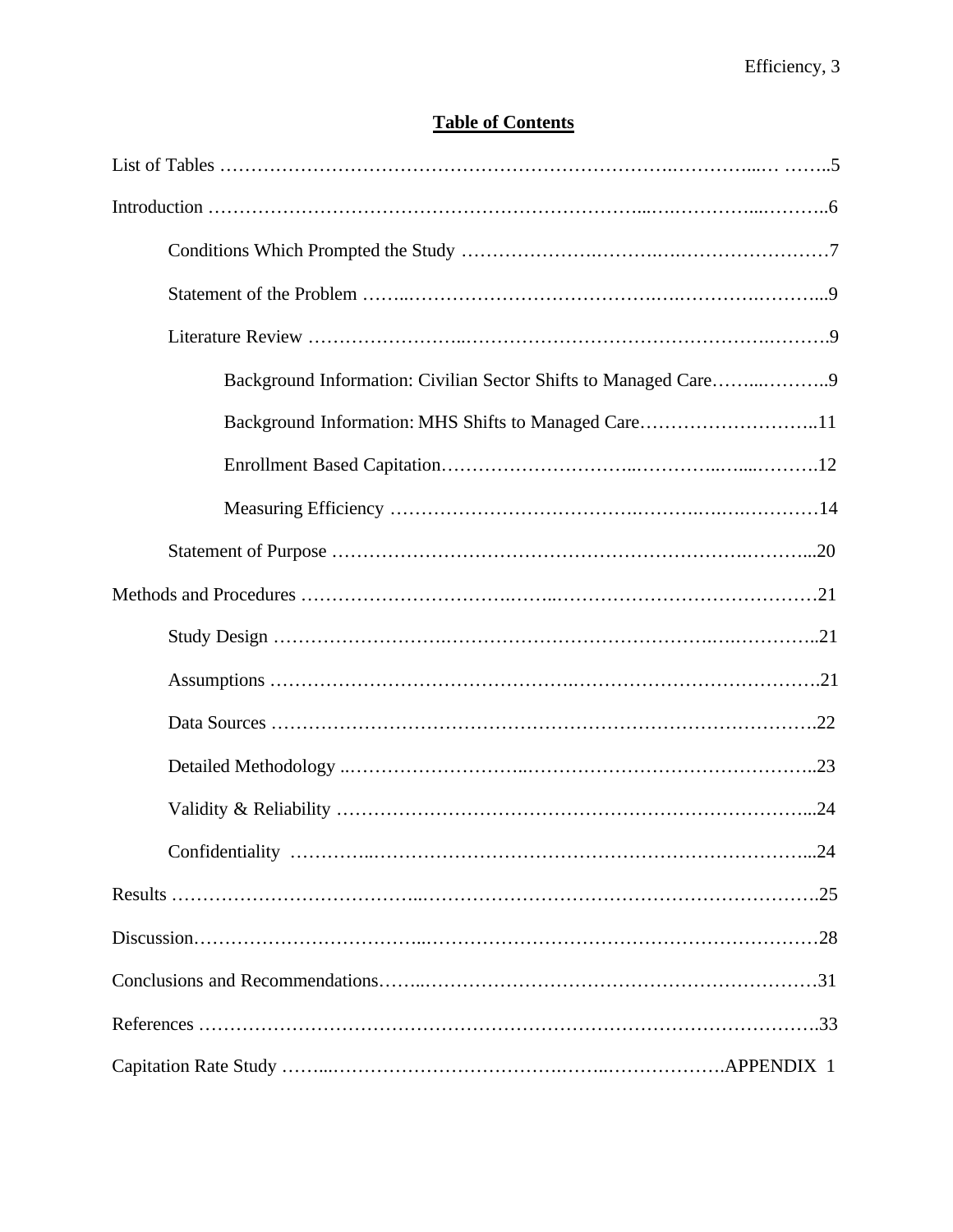## **Table of Contents**

| Background Information: Civilian Sector Shifts to Managed Care9 |
|-----------------------------------------------------------------|
| Background Information: MHS Shifts to Managed Care11            |
|                                                                 |
|                                                                 |
|                                                                 |
|                                                                 |
|                                                                 |
|                                                                 |
|                                                                 |
|                                                                 |
|                                                                 |
|                                                                 |
|                                                                 |
|                                                                 |
|                                                                 |
|                                                                 |
|                                                                 |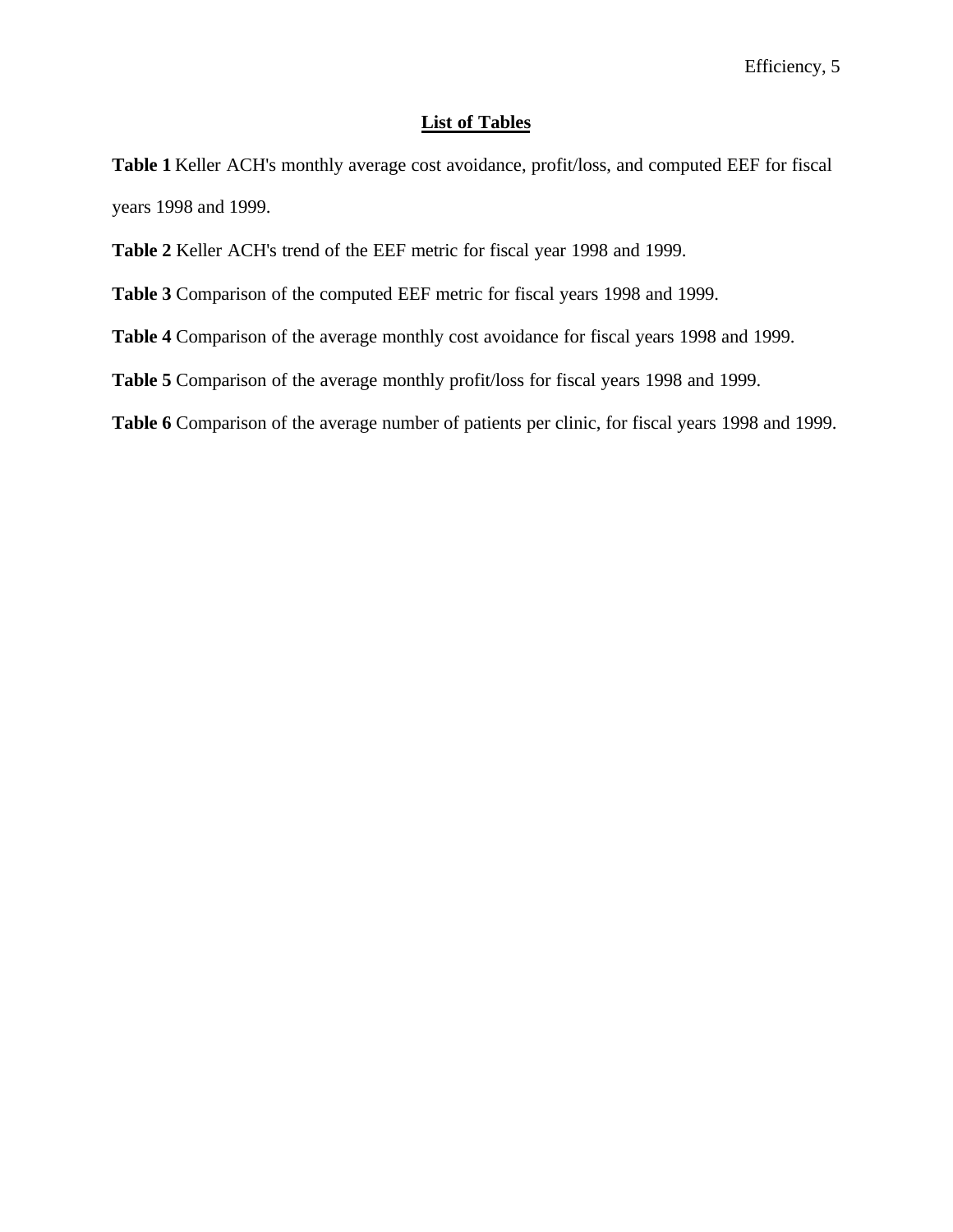## **List of Tables**

**Table 1** Keller ACH's monthly average cost avoidance, profit/loss, and computed EEF for fiscal years 1998 and 1999.

- **Table 2** Keller ACH's trend of the EEF metric for fiscal year 1998 and 1999.
- **Table 3** Comparison of the computed EEF metric for fiscal years 1998 and 1999.
- **Table 4** Comparison of the average monthly cost avoidance for fiscal years 1998 and 1999.
- **Table 5** Comparison of the average monthly profit/loss for fiscal years 1998 and 1999.
- **Table 6** Comparison of the average number of patients per clinic, for fiscal years 1998 and 1999.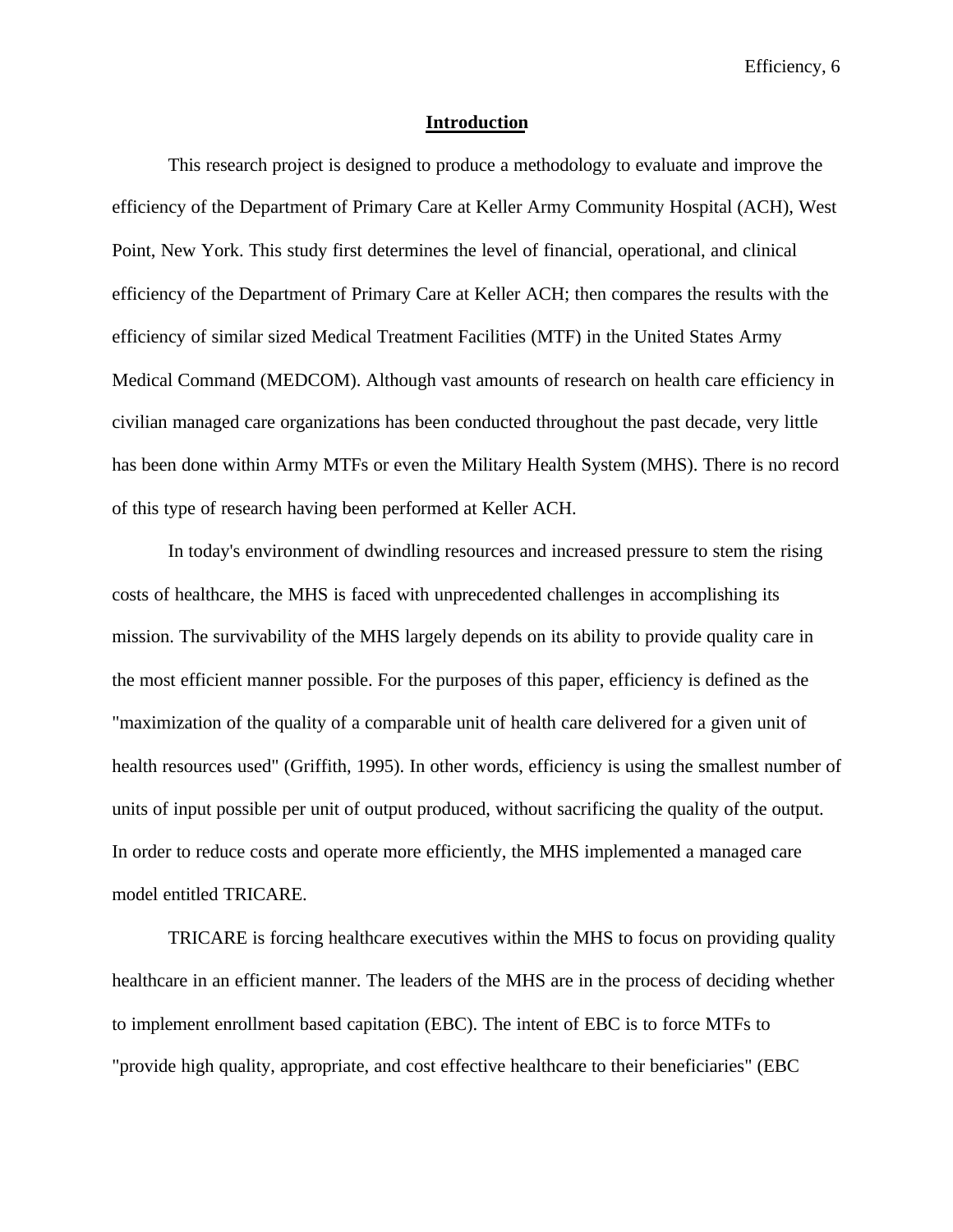## **Introduction**

This research project is designed to produce a methodology to evaluate and improve the efficiency of the Department of Primary Care at Keller Army Community Hospital (ACH), West Point, New York. This study first determines the level of financial, operational, and clinical efficiency of the Department of Primary Care at Keller ACH; then compares the results with the efficiency of similar sized Medical Treatment Facilities (MTF) in the United States Army Medical Command (MEDCOM). Although vast amounts of research on health care efficiency in civilian managed care organizations has been conducted throughout the past decade, very little has been done within Army MTFs or even the Military Health System (MHS). There is no record of this type of research having been performed at Keller ACH.

In today's environment of dwindling resources and increased pressure to stem the rising costs of healthcare, the MHS is faced with unprecedented challenges in accomplishing its mission. The survivability of the MHS largely depends on its ability to provide quality care in the most efficient manner possible. For the purposes of this paper, efficiency is defined as the "maximization of the quality of a comparable unit of health care delivered for a given unit of health resources used" (Griffith, 1995). In other words, efficiency is using the smallest number of units of input possible per unit of output produced, without sacrificing the quality of the output. In order to reduce costs and operate more efficiently, the MHS implemented a managed care model entitled TRICARE.

TRICARE is forcing healthcare executives within the MHS to focus on providing quality healthcare in an efficient manner. The leaders of the MHS are in the process of deciding whether to implement enrollment based capitation (EBC). The intent of EBC is to force MTFs to "provide high quality, appropriate, and cost effective healthcare to their beneficiaries" (EBC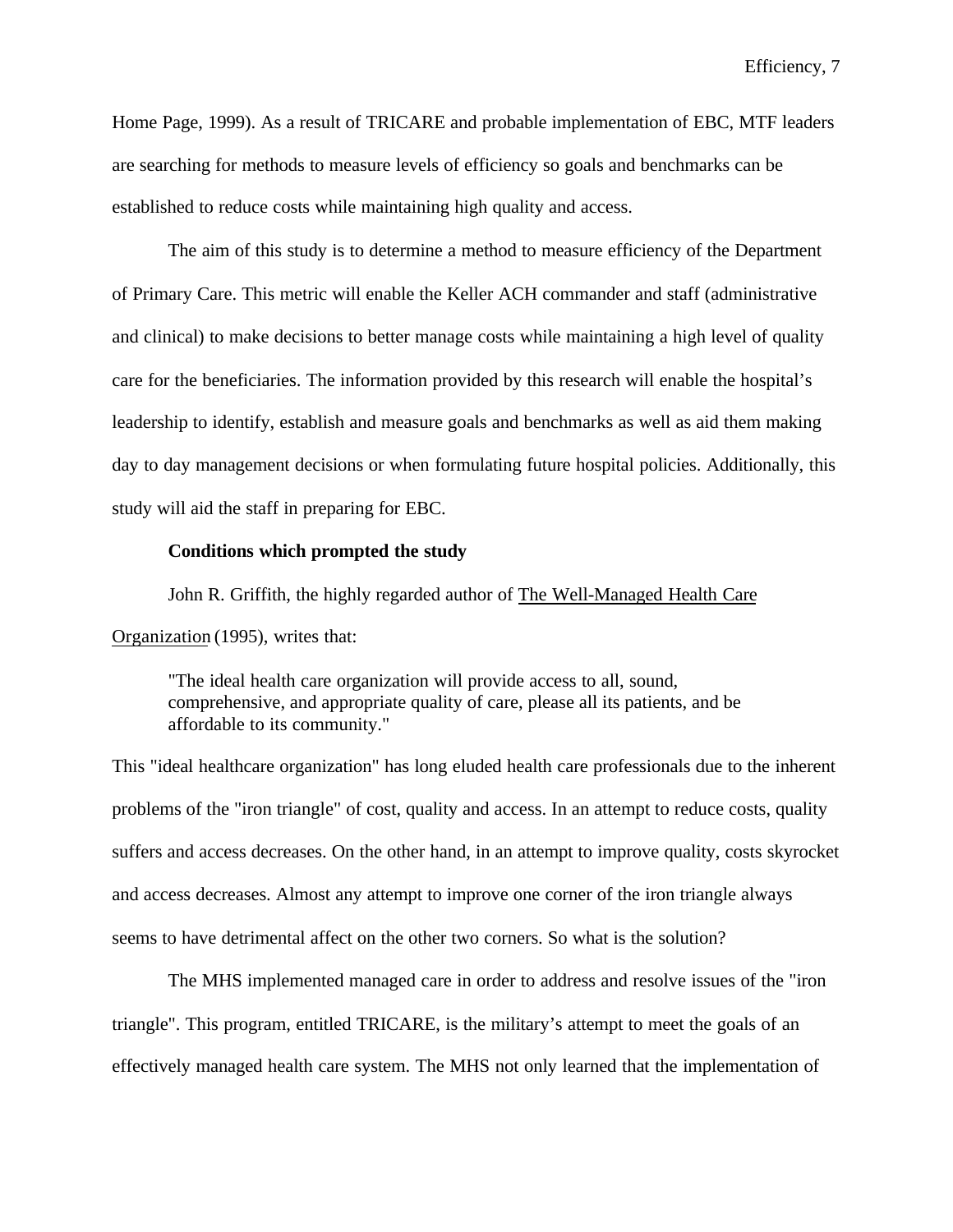Home Page, 1999). As a result of TRICARE and probable implementation of EBC, MTF leaders are searching for methods to measure levels of efficiency so goals and benchmarks can be established to reduce costs while maintaining high quality and access.

The aim of this study is to determine a method to measure efficiency of the Department of Primary Care. This metric will enable the Keller ACH commander and staff (administrative and clinical) to make decisions to better manage costs while maintaining a high level of quality care for the beneficiaries. The information provided by this research will enable the hospital's leadership to identify, establish and measure goals and benchmarks as well as aid them making day to day management decisions or when formulating future hospital policies. Additionally, this study will aid the staff in preparing for EBC.

## **Conditions which prompted the study**

John R. Griffith, the highly regarded author of The Well-Managed Health Care Organization (1995), writes that:

"The ideal health care organization will provide access to all, sound, comprehensive, and appropriate quality of care, please all its patients, and be affordable to its community."

This "ideal healthcare organization" has long eluded health care professionals due to the inherent problems of the "iron triangle" of cost, quality and access. In an attempt to reduce costs, quality suffers and access decreases. On the other hand, in an attempt to improve quality, costs skyrocket and access decreases. Almost any attempt to improve one corner of the iron triangle always seems to have detrimental affect on the other two corners. So what is the solution?

The MHS implemented managed care in order to address and resolve issues of the "iron triangle". This program, entitled TRICARE, is the military's attempt to meet the goals of an effectively managed health care system. The MHS not only learned that the implementation of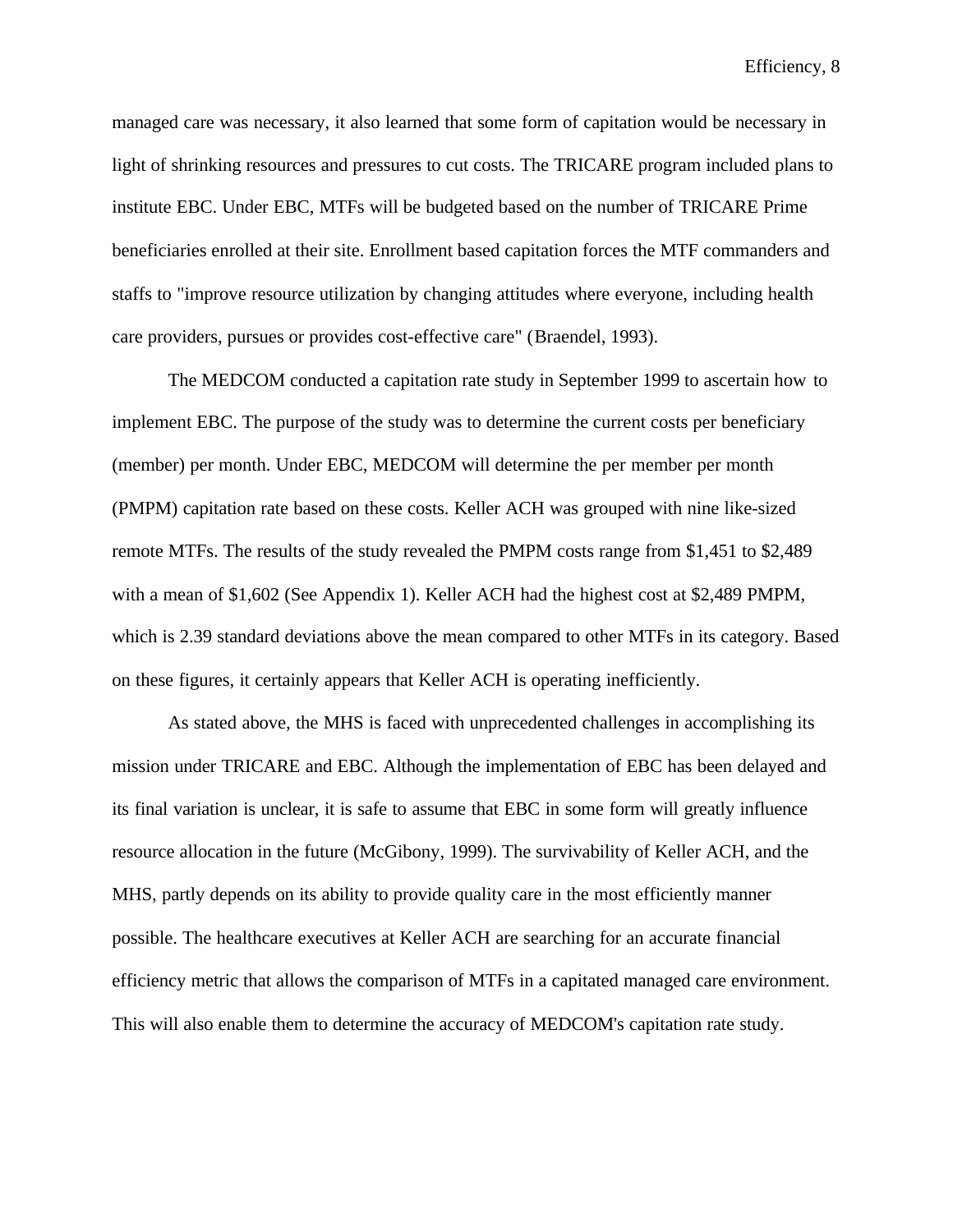managed care was necessary, it also learned that some form of capitation would be necessary in light of shrinking resources and pressures to cut costs. The TRICARE program included plans to institute EBC. Under EBC, MTFs will be budgeted based on the number of TRICARE Prime beneficiaries enrolled at their site. Enrollment based capitation forces the MTF commanders and staffs to "improve resource utilization by changing attitudes where everyone, including health care providers, pursues or provides cost-effective care" (Braendel, 1993).

The MEDCOM conducted a capitation rate study in September 1999 to ascertain how to implement EBC. The purpose of the study was to determine the current costs per beneficiary (member) per month. Under EBC, MEDCOM will determine the per member per month (PMPM) capitation rate based on these costs. Keller ACH was grouped with nine like-sized remote MTFs. The results of the study revealed the PMPM costs range from \$1,451 to \$2,489 with a mean of \$1,602 (See Appendix 1). Keller ACH had the highest cost at \$2,489 PMPM, which is 2.39 standard deviations above the mean compared to other MTFs in its category. Based on these figures, it certainly appears that Keller ACH is operating inefficiently.

As stated above, the MHS is faced with unprecedented challenges in accomplishing its mission under TRICARE and EBC. Although the implementation of EBC has been delayed and its final variation is unclear, it is safe to assume that EBC in some form will greatly influence resource allocation in the future (McGibony, 1999). The survivability of Keller ACH, and the MHS, partly depends on its ability to provide quality care in the most efficiently manner possible. The healthcare executives at Keller ACH are searching for an accurate financial efficiency metric that allows the comparison of MTFs in a capitated managed care environment. This will also enable them to determine the accuracy of MEDCOM's capitation rate study.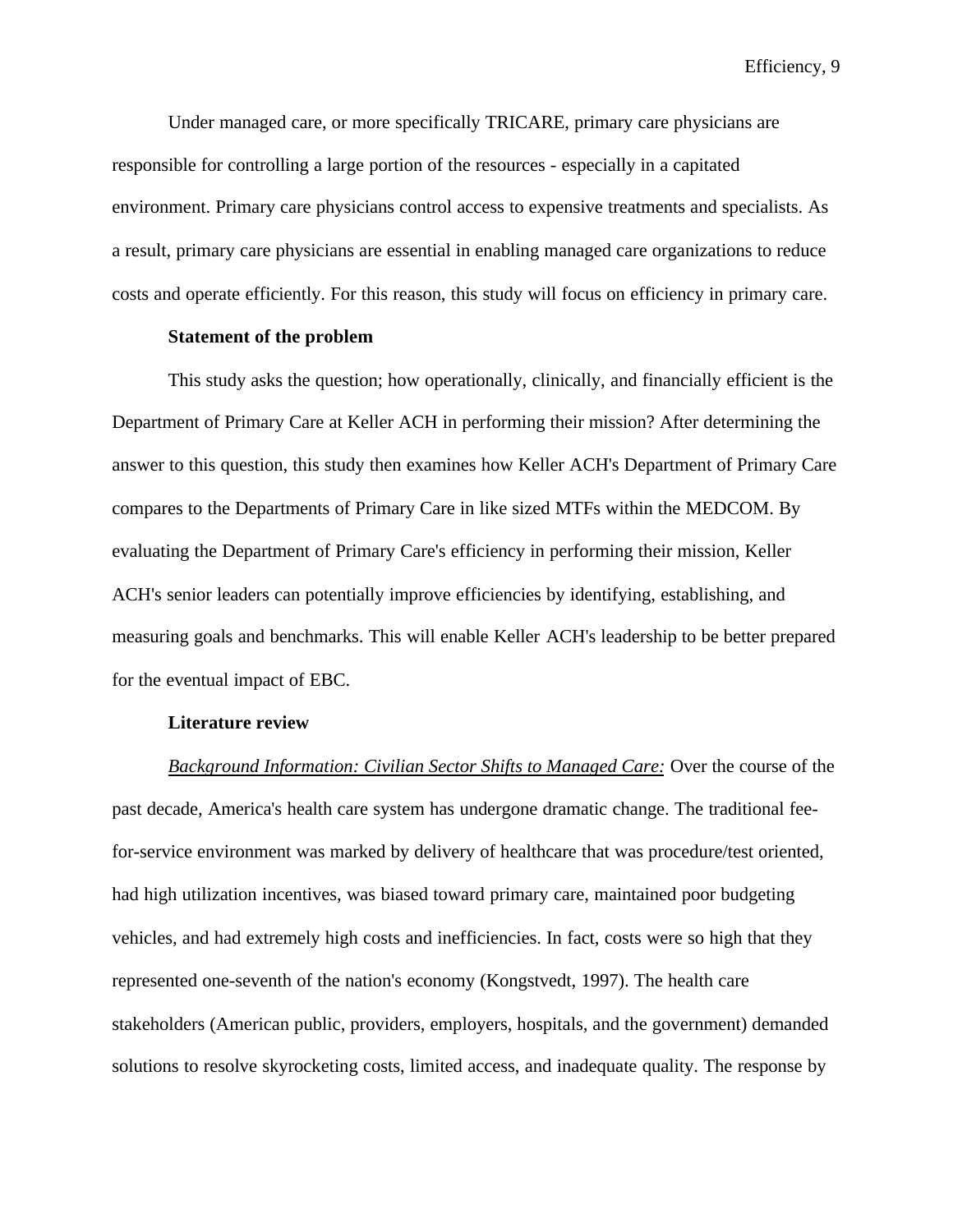Under managed care, or more specifically TRICARE, primary care physicians are responsible for controlling a large portion of the resources - especially in a capitated environment. Primary care physicians control access to expensive treatments and specialists. As a result, primary care physicians are essential in enabling managed care organizations to reduce costs and operate efficiently. For this reason, this study will focus on efficiency in primary care.

## **Statement of the problem**

This study asks the question; how operationally, clinically, and financially efficient is the Department of Primary Care at Keller ACH in performing their mission? After determining the answer to this question, this study then examines how Keller ACH's Department of Primary Care compares to the Departments of Primary Care in like sized MTFs within the MEDCOM. By evaluating the Department of Primary Care's efficiency in performing their mission, Keller ACH's senior leaders can potentially improve efficiencies by identifying, establishing, and measuring goals and benchmarks. This will enable Keller ACH's leadership to be better prepared for the eventual impact of EBC.

## **Literature review**

*Background Information: Civilian Sector Shifts to Managed Care:* Over the course of the past decade, America's health care system has undergone dramatic change. The traditional feefor-service environment was marked by delivery of healthcare that was procedure/test oriented, had high utilization incentives, was biased toward primary care, maintained poor budgeting vehicles, and had extremely high costs and inefficiencies. In fact, costs were so high that they represented one-seventh of the nation's economy (Kongstvedt, 1997). The health care stakeholders (American public, providers, employers, hospitals, and the government) demanded solutions to resolve skyrocketing costs, limited access, and inadequate quality. The response by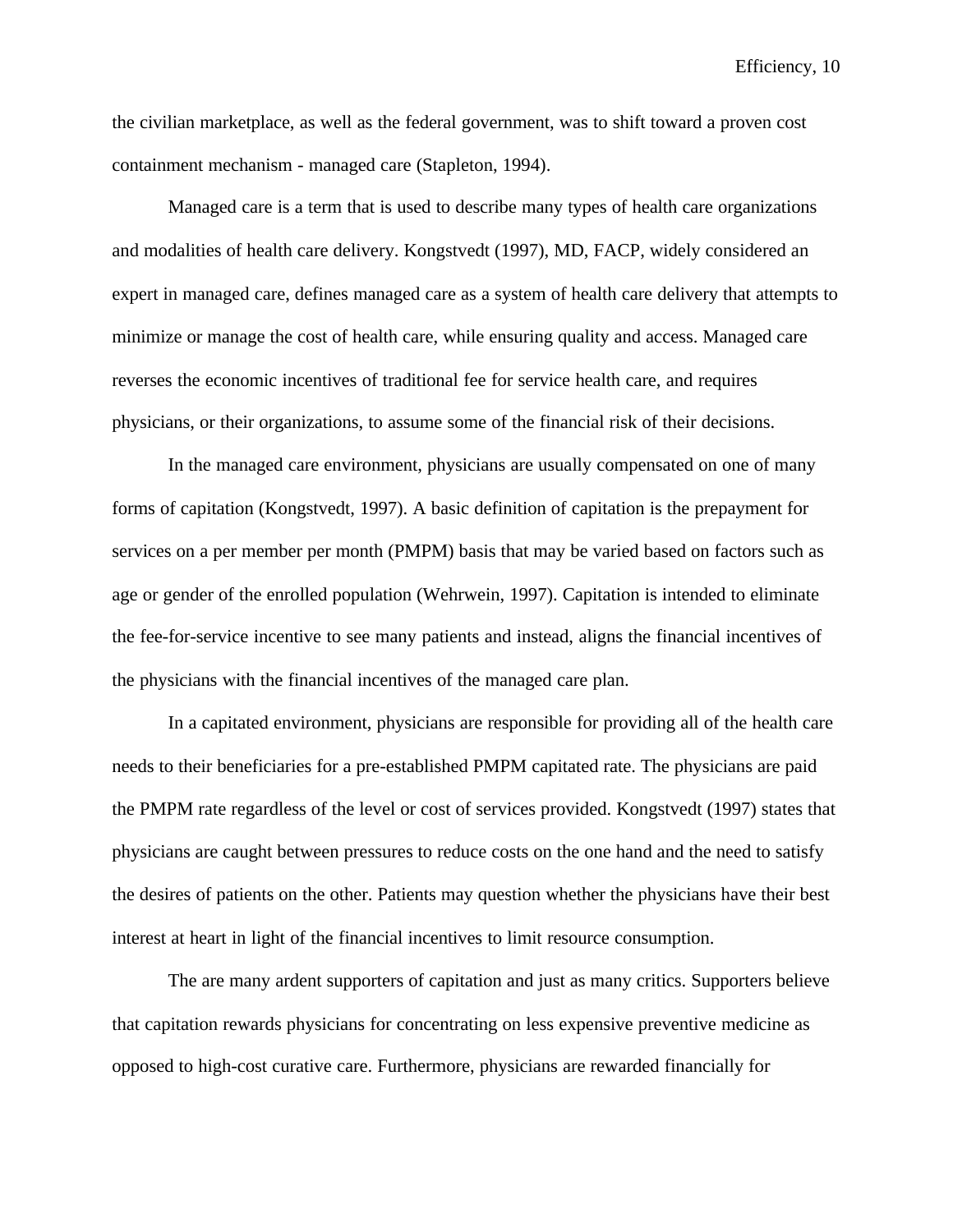the civilian marketplace, as well as the federal government, was to shift toward a proven cost containment mechanism - managed care (Stapleton, 1994).

Managed care is a term that is used to describe many types of health care organizations and modalities of health care delivery. Kongstvedt (1997), MD, FACP, widely considered an expert in managed care, defines managed care as a system of health care delivery that attempts to minimize or manage the cost of health care, while ensuring quality and access. Managed care reverses the economic incentives of traditional fee for service health care, and requires physicians, or their organizations, to assume some of the financial risk of their decisions.

In the managed care environment, physicians are usually compensated on one of many forms of capitation (Kongstvedt, 1997). A basic definition of capitation is the prepayment for services on a per member per month (PMPM) basis that may be varied based on factors such as age or gender of the enrolled population (Wehrwein, 1997). Capitation is intended to eliminate the fee-for-service incentive to see many patients and instead, aligns the financial incentives of the physicians with the financial incentives of the managed care plan.

In a capitated environment, physicians are responsible for providing all of the health care needs to their beneficiaries for a pre-established PMPM capitated rate. The physicians are paid the PMPM rate regardless of the level or cost of services provided. Kongstvedt (1997) states that physicians are caught between pressures to reduce costs on the one hand and the need to satisfy the desires of patients on the other. Patients may question whether the physicians have their best interest at heart in light of the financial incentives to limit resource consumption.

The are many ardent supporters of capitation and just as many critics. Supporters believe that capitation rewards physicians for concentrating on less expensive preventive medicine as opposed to high-cost curative care. Furthermore, physicians are rewarded financially for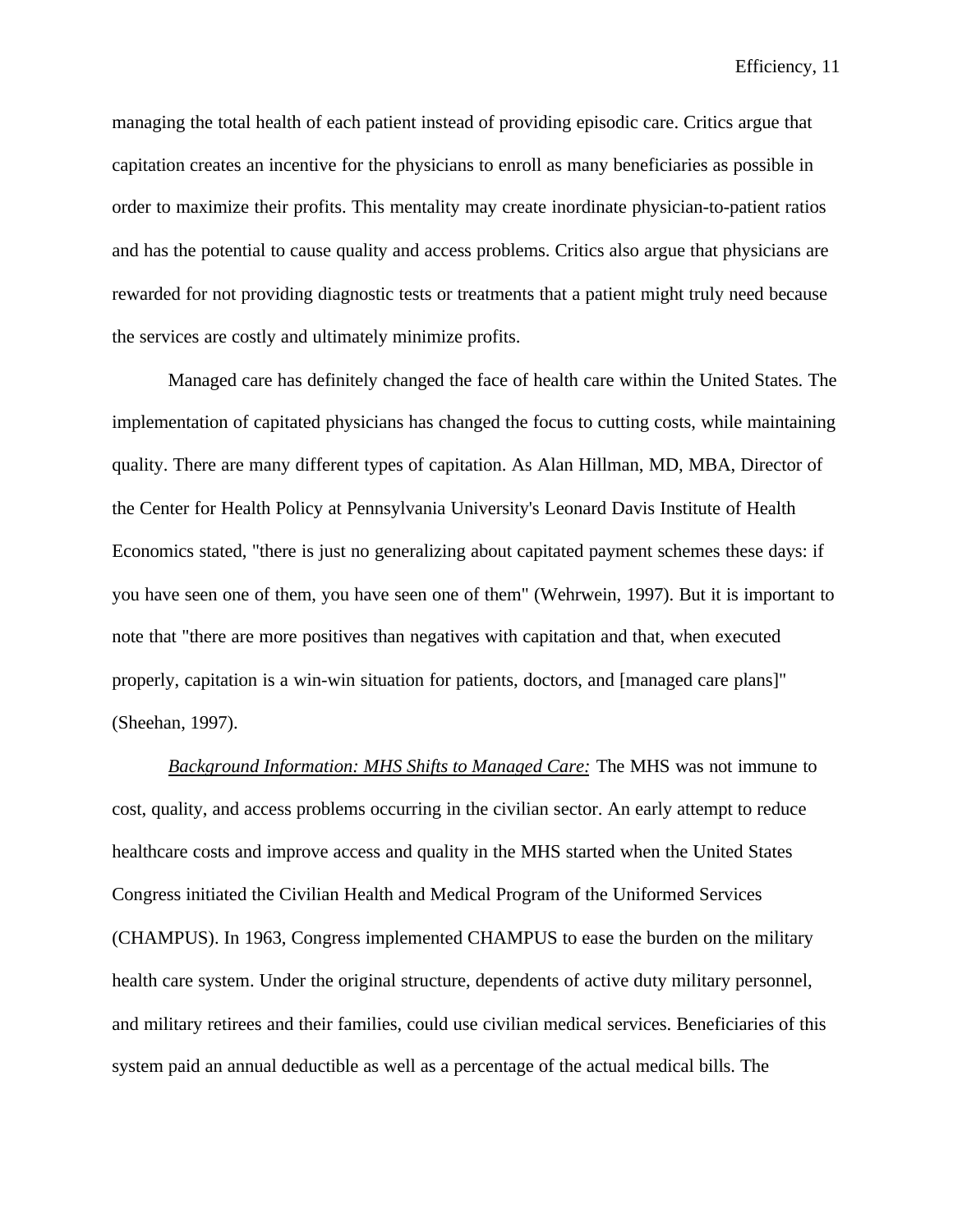managing the total health of each patient instead of providing episodic care. Critics argue that capitation creates an incentive for the physicians to enroll as many beneficiaries as possible in order to maximize their profits. This mentality may create inordinate physician-to-patient ratios and has the potential to cause quality and access problems. Critics also argue that physicians are rewarded for not providing diagnostic tests or treatments that a patient might truly need because the services are costly and ultimately minimize profits.

Managed care has definitely changed the face of health care within the United States. The implementation of capitated physicians has changed the focus to cutting costs, while maintaining quality. There are many different types of capitation. As Alan Hillman, MD, MBA, Director of the Center for Health Policy at Pennsylvania University's Leonard Davis Institute of Health Economics stated, "there is just no generalizing about capitated payment schemes these days: if you have seen one of them, you have seen one of them" (Wehrwein, 1997). But it is important to note that "there are more positives than negatives with capitation and that, when executed properly, capitation is a win-win situation for patients, doctors, and [managed care plans]" (Sheehan, 1997).

*Background Information: MHS Shifts to Managed Care:* The MHS was not immune to cost, quality, and access problems occurring in the civilian sector. An early attempt to reduce healthcare costs and improve access and quality in the MHS started when the United States Congress initiated the Civilian Health and Medical Program of the Uniformed Services (CHAMPUS). In 1963, Congress implemented CHAMPUS to ease the burden on the military health care system. Under the original structure, dependents of active duty military personnel, and military retirees and their families, could use civilian medical services. Beneficiaries of this system paid an annual deductible as well as a percentage of the actual medical bills. The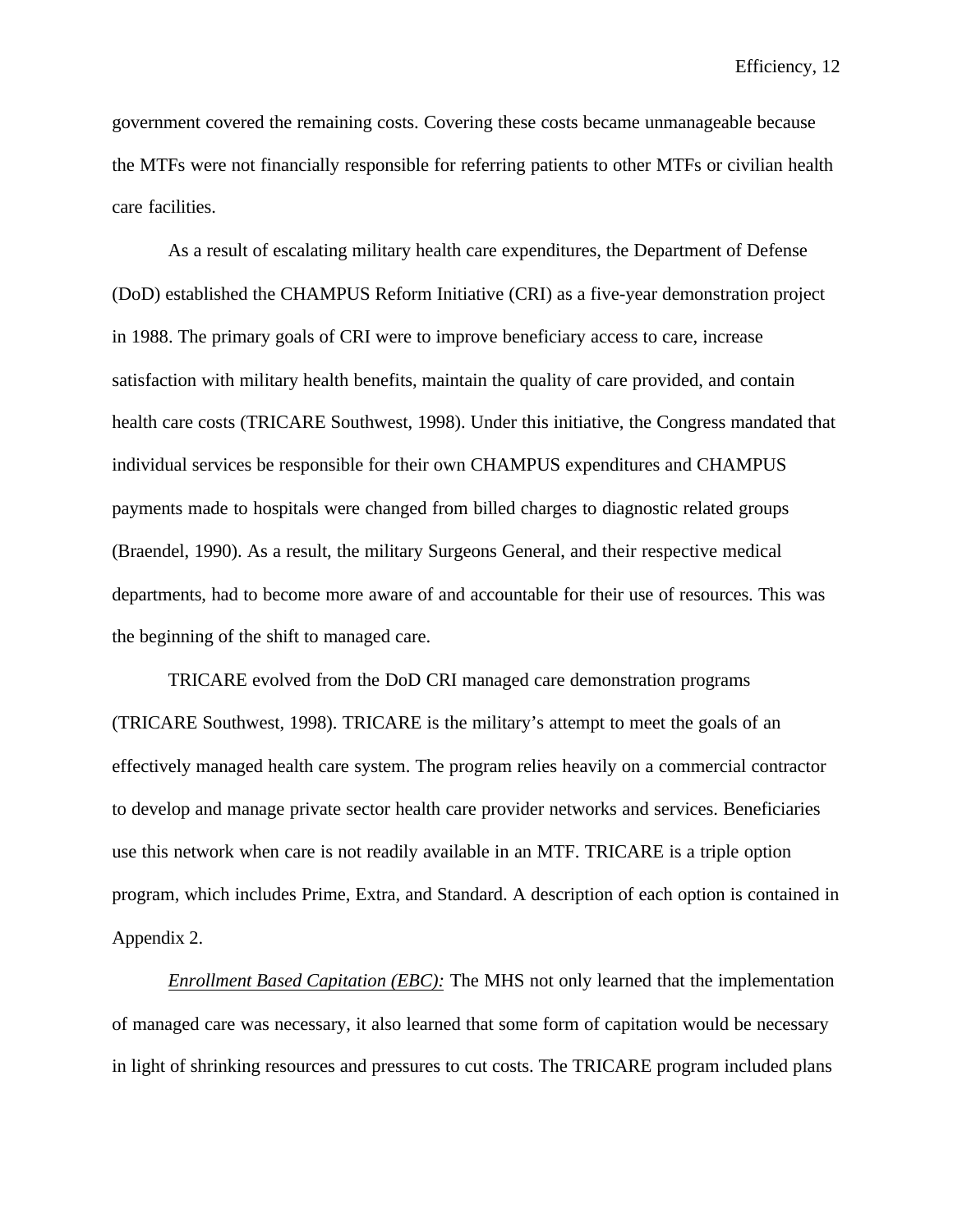government covered the remaining costs. Covering these costs became unmanageable because the MTFs were not financially responsible for referring patients to other MTFs or civilian health care facilities.

As a result of escalating military health care expenditures, the Department of Defense (DoD) established the CHAMPUS Reform Initiative (CRI) as a five-year demonstration project in 1988. The primary goals of CRI were to improve beneficiary access to care, increase satisfaction with military health benefits, maintain the quality of care provided, and contain health care costs (TRICARE Southwest, 1998). Under this initiative, the Congress mandated that individual services be responsible for their own CHAMPUS expenditures and CHAMPUS payments made to hospitals were changed from billed charges to diagnostic related groups (Braendel, 1990). As a result, the military Surgeons General, and their respective medical departments, had to become more aware of and accountable for their use of resources. This was the beginning of the shift to managed care.

TRICARE evolved from the DoD CRI managed care demonstration programs (TRICARE Southwest, 1998). TRICARE is the military's attempt to meet the goals of an effectively managed health care system. The program relies heavily on a commercial contractor to develop and manage private sector health care provider networks and services. Beneficiaries use this network when care is not readily available in an MTF. TRICARE is a triple option program, which includes Prime, Extra, and Standard. A description of each option is contained in Appendix 2.

*Enrollment Based Capitation (EBC):* The MHS not only learned that the implementation of managed care was necessary, it also learned that some form of capitation would be necessary in light of shrinking resources and pressures to cut costs. The TRICARE program included plans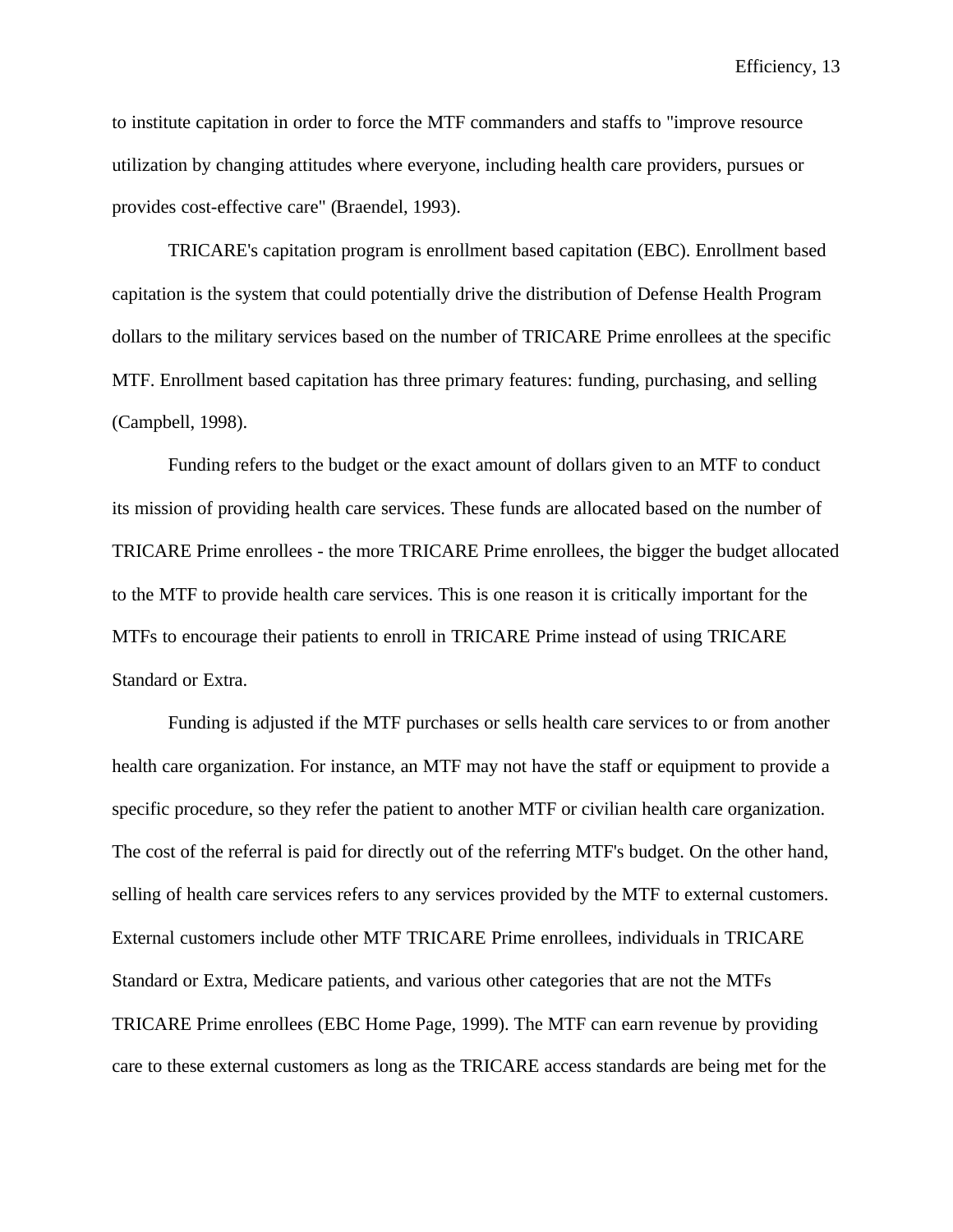to institute capitation in order to force the MTF commanders and staffs to "improve resource utilization by changing attitudes where everyone, including health care providers, pursues or provides cost-effective care" (Braendel, 1993).

TRICARE's capitation program is enrollment based capitation (EBC). Enrollment based capitation is the system that could potentially drive the distribution of Defense Health Program dollars to the military services based on the number of TRICARE Prime enrollees at the specific MTF. Enrollment based capitation has three primary features: funding, purchasing, and selling (Campbell, 1998).

Funding refers to the budget or the exact amount of dollars given to an MTF to conduct its mission of providing health care services. These funds are allocated based on the number of TRICARE Prime enrollees - the more TRICARE Prime enrollees, the bigger the budget allocated to the MTF to provide health care services. This is one reason it is critically important for the MTFs to encourage their patients to enroll in TRICARE Prime instead of using TRICARE Standard or Extra.

Funding is adjusted if the MTF purchases or sells health care services to or from another health care organization. For instance, an MTF may not have the staff or equipment to provide a specific procedure, so they refer the patient to another MTF or civilian health care organization. The cost of the referral is paid for directly out of the referring MTF's budget. On the other hand, selling of health care services refers to any services provided by the MTF to external customers. External customers include other MTF TRICARE Prime enrollees, individuals in TRICARE Standard or Extra, Medicare patients, and various other categories that are not the MTFs TRICARE Prime enrollees (EBC Home Page, 1999). The MTF can earn revenue by providing care to these external customers as long as the TRICARE access standards are being met for the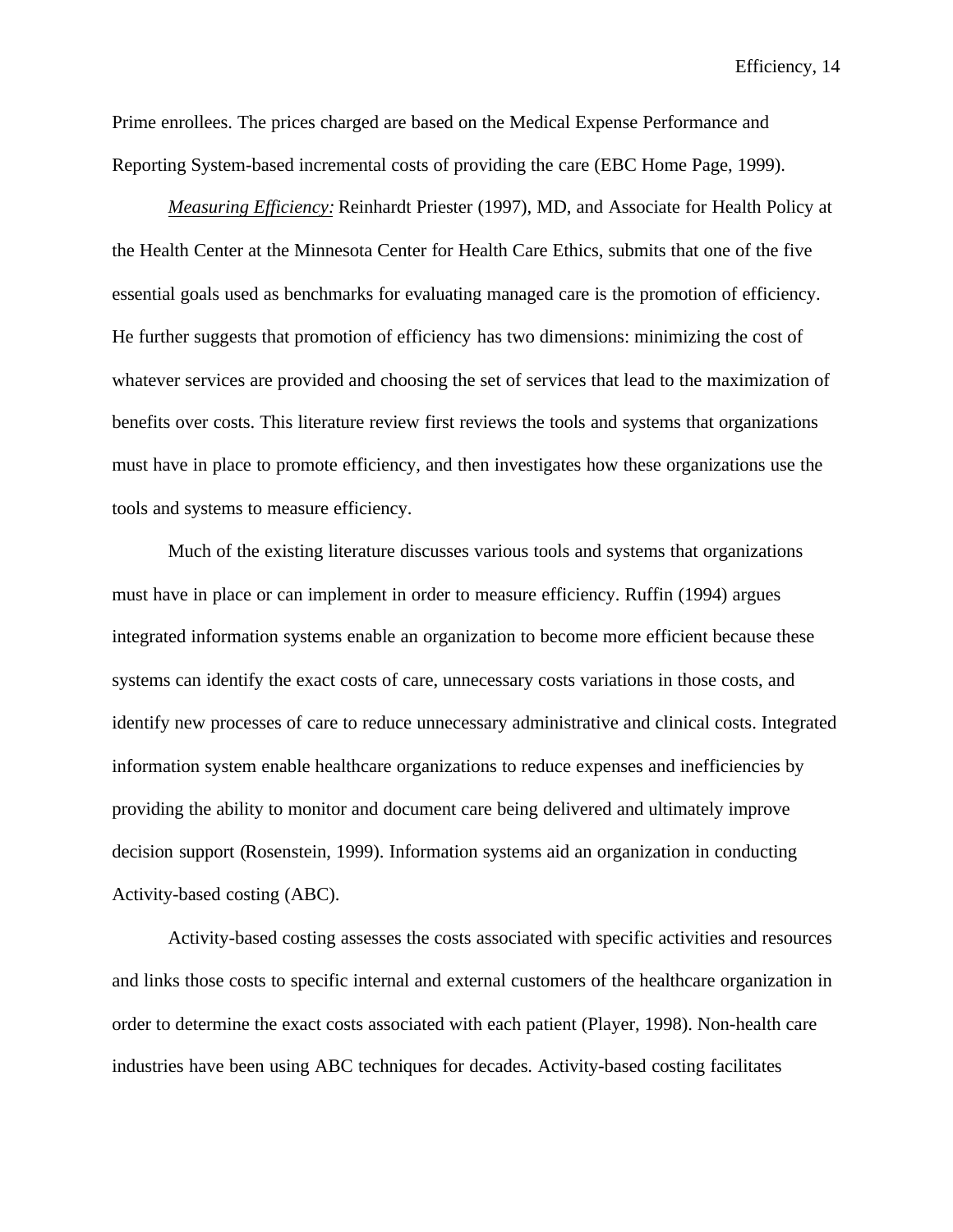Prime enrollees. The prices charged are based on the Medical Expense Performance and Reporting System-based incremental costs of providing the care (EBC Home Page, 1999).

*Measuring Efficiency:* Reinhardt Priester (1997), MD, and Associate for Health Policy at the Health Center at the Minnesota Center for Health Care Ethics, submits that one of the five essential goals used as benchmarks for evaluating managed care is the promotion of efficiency. He further suggests that promotion of efficiency has two dimensions: minimizing the cost of whatever services are provided and choosing the set of services that lead to the maximization of benefits over costs. This literature review first reviews the tools and systems that organizations must have in place to promote efficiency, and then investigates how these organizations use the tools and systems to measure efficiency.

Much of the existing literature discusses various tools and systems that organizations must have in place or can implement in order to measure efficiency. Ruffin (1994) argues integrated information systems enable an organization to become more efficient because these systems can identify the exact costs of care, unnecessary costs variations in those costs, and identify new processes of care to reduce unnecessary administrative and clinical costs. Integrated information system enable healthcare organizations to reduce expenses and inefficiencies by providing the ability to monitor and document care being delivered and ultimately improve decision support (Rosenstein, 1999). Information systems aid an organization in conducting Activity-based costing (ABC).

Activity-based costing assesses the costs associated with specific activities and resources and links those costs to specific internal and external customers of the healthcare organization in order to determine the exact costs associated with each patient (Player, 1998). Non-health care industries have been using ABC techniques for decades. Activity-based costing facilitates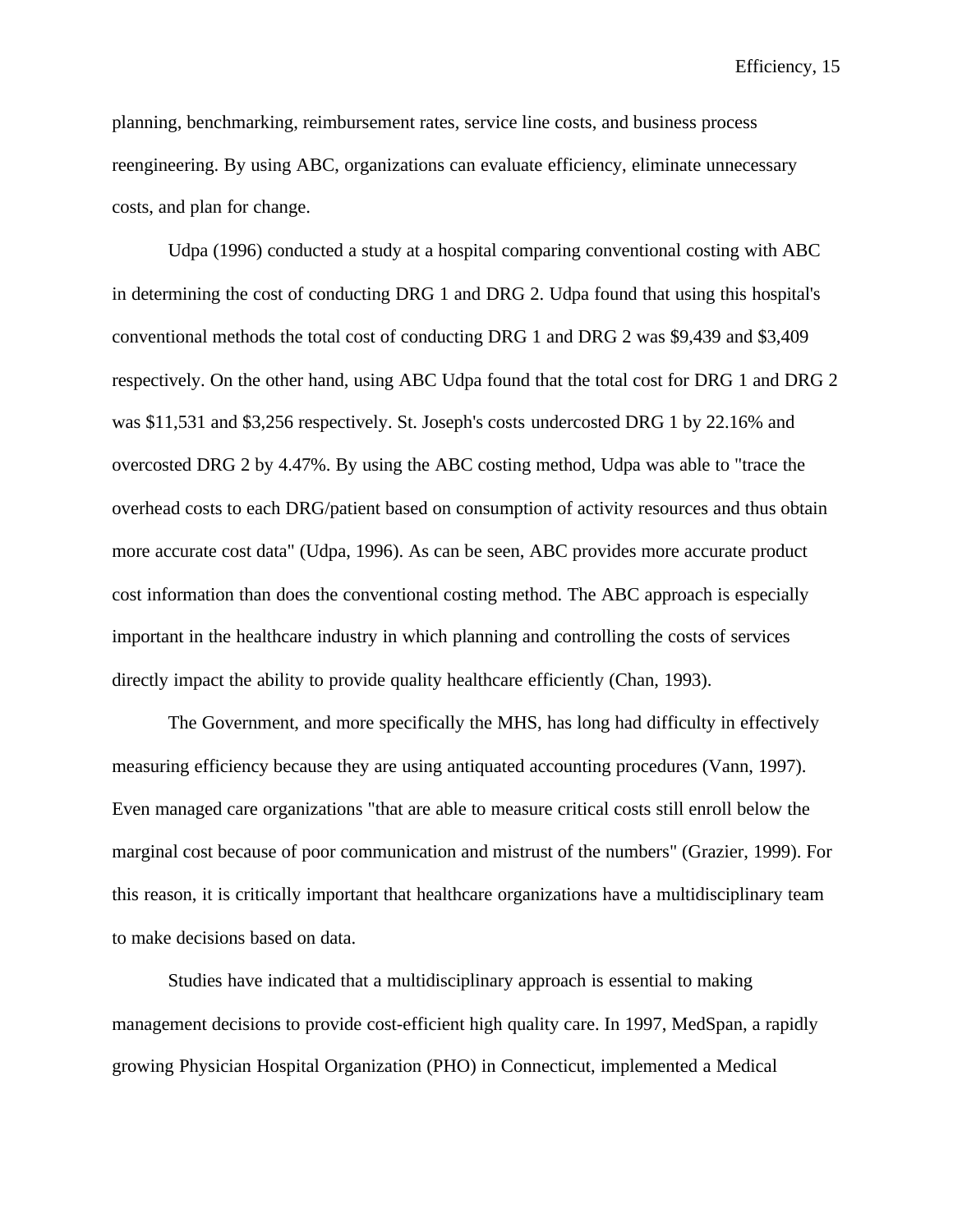planning, benchmarking, reimbursement rates, service line costs, and business process reengineering. By using ABC, organizations can evaluate efficiency, eliminate unnecessary costs, and plan for change.

Udpa (1996) conducted a study at a hospital comparing conventional costing with ABC in determining the cost of conducting DRG 1 and DRG 2. Udpa found that using this hospital's conventional methods the total cost of conducting DRG 1 and DRG 2 was \$9,439 and \$3,409 respectively. On the other hand, using ABC Udpa found that the total cost for DRG 1 and DRG 2 was \$11,531 and \$3,256 respectively. St. Joseph's costs undercosted DRG 1 by 22.16% and overcosted DRG 2 by 4.47%. By using the ABC costing method, Udpa was able to "trace the overhead costs to each DRG/patient based on consumption of activity resources and thus obtain more accurate cost data" (Udpa, 1996). As can be seen, ABC provides more accurate product cost information than does the conventional costing method. The ABC approach is especially important in the healthcare industry in which planning and controlling the costs of services directly impact the ability to provide quality healthcare efficiently (Chan, 1993).

The Government, and more specifically the MHS, has long had difficulty in effectively measuring efficiency because they are using antiquated accounting procedures (Vann, 1997). Even managed care organizations "that are able to measure critical costs still enroll below the marginal cost because of poor communication and mistrust of the numbers" (Grazier, 1999). For this reason, it is critically important that healthcare organizations have a multidisciplinary team to make decisions based on data.

Studies have indicated that a multidisciplinary approach is essential to making management decisions to provide cost-efficient high quality care. In 1997, MedSpan, a rapidly growing Physician Hospital Organization (PHO) in Connecticut, implemented a Medical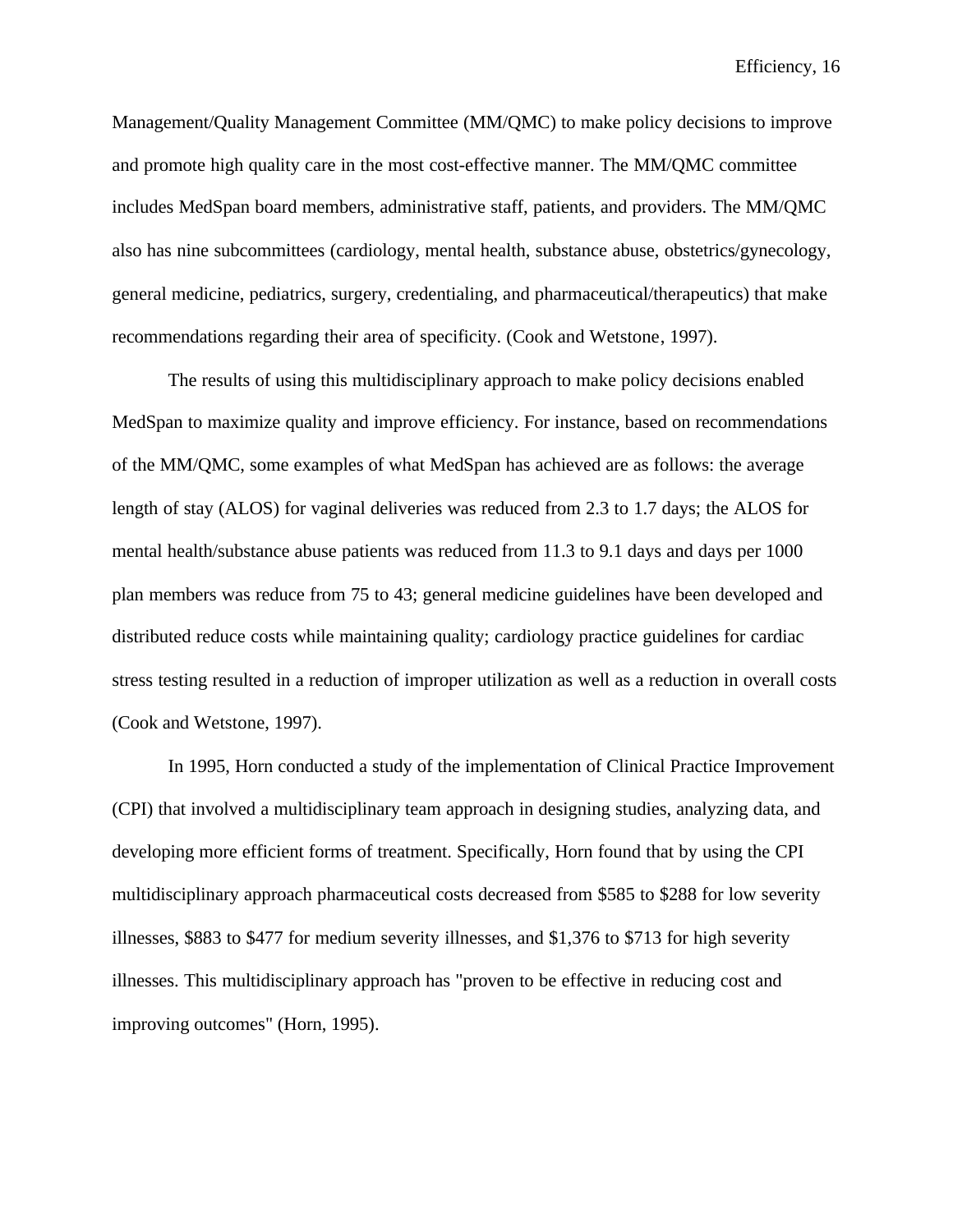Management/Quality Management Committee (MM/QMC) to make policy decisions to improve and promote high quality care in the most cost-effective manner. The MM/QMC committee includes MedSpan board members, administrative staff, patients, and providers. The MM/QMC also has nine subcommittees (cardiology, mental health, substance abuse, obstetrics/gynecology, general medicine, pediatrics, surgery, credentialing, and pharmaceutical/therapeutics) that make recommendations regarding their area of specificity. (Cook and Wetstone, 1997).

The results of using this multidisciplinary approach to make policy decisions enabled MedSpan to maximize quality and improve efficiency. For instance, based on recommendations of the MM/QMC, some examples of what MedSpan has achieved are as follows: the average length of stay (ALOS) for vaginal deliveries was reduced from 2.3 to 1.7 days; the ALOS for mental health/substance abuse patients was reduced from 11.3 to 9.1 days and days per 1000 plan members was reduce from 75 to 43; general medicine guidelines have been developed and distributed reduce costs while maintaining quality; cardiology practice guidelines for cardiac stress testing resulted in a reduction of improper utilization as well as a reduction in overall costs (Cook and Wetstone, 1997).

In 1995, Horn conducted a study of the implementation of Clinical Practice Improvement (CPI) that involved a multidisciplinary team approach in designing studies, analyzing data, and developing more efficient forms of treatment. Specifically, Horn found that by using the CPI multidisciplinary approach pharmaceutical costs decreased from \$585 to \$288 for low severity illnesses, \$883 to \$477 for medium severity illnesses, and \$1,376 to \$713 for high severity illnesses. This multidisciplinary approach has "proven to be effective in reducing cost and improving outcomes" (Horn, 1995).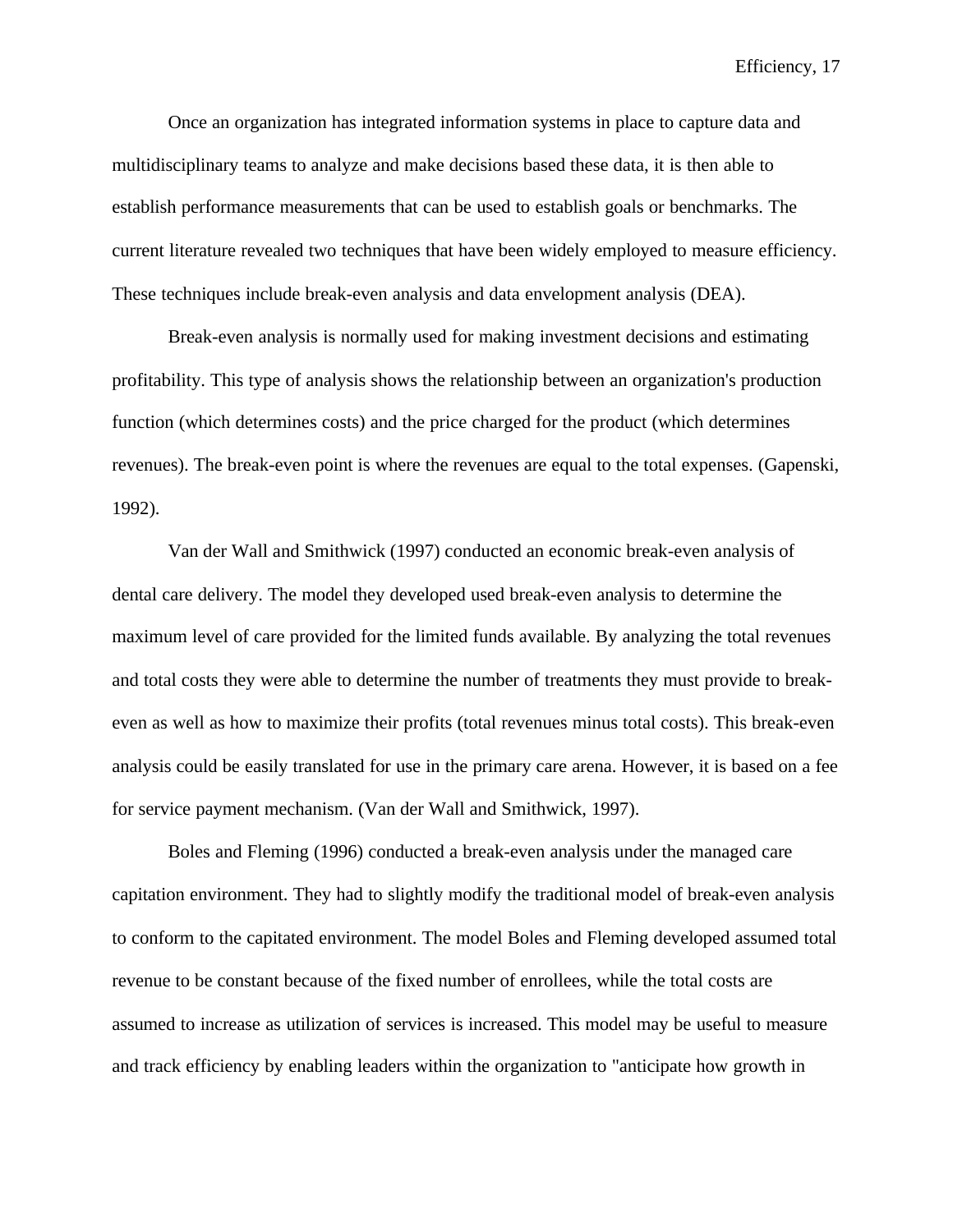Once an organization has integrated information systems in place to capture data and multidisciplinary teams to analyze and make decisions based these data, it is then able to establish performance measurements that can be used to establish goals or benchmarks. The current literature revealed two techniques that have been widely employed to measure efficiency. These techniques include break-even analysis and data envelopment analysis (DEA).

Break-even analysis is normally used for making investment decisions and estimating profitability. This type of analysis shows the relationship between an organization's production function (which determines costs) and the price charged for the product (which determines revenues). The break-even point is where the revenues are equal to the total expenses. (Gapenski, 1992).

Van der Wall and Smithwick (1997) conducted an economic break-even analysis of dental care delivery. The model they developed used break-even analysis to determine the maximum level of care provided for the limited funds available. By analyzing the total revenues and total costs they were able to determine the number of treatments they must provide to breakeven as well as how to maximize their profits (total revenues minus total costs). This break-even analysis could be easily translated for use in the primary care arena. However, it is based on a fee for service payment mechanism. (Van der Wall and Smithwick, 1997).

Boles and Fleming (1996) conducted a break-even analysis under the managed care capitation environment. They had to slightly modify the traditional model of break-even analysis to conform to the capitated environment. The model Boles and Fleming developed assumed total revenue to be constant because of the fixed number of enrollees, while the total costs are assumed to increase as utilization of services is increased. This model may be useful to measure and track efficiency by enabling leaders within the organization to "anticipate how growth in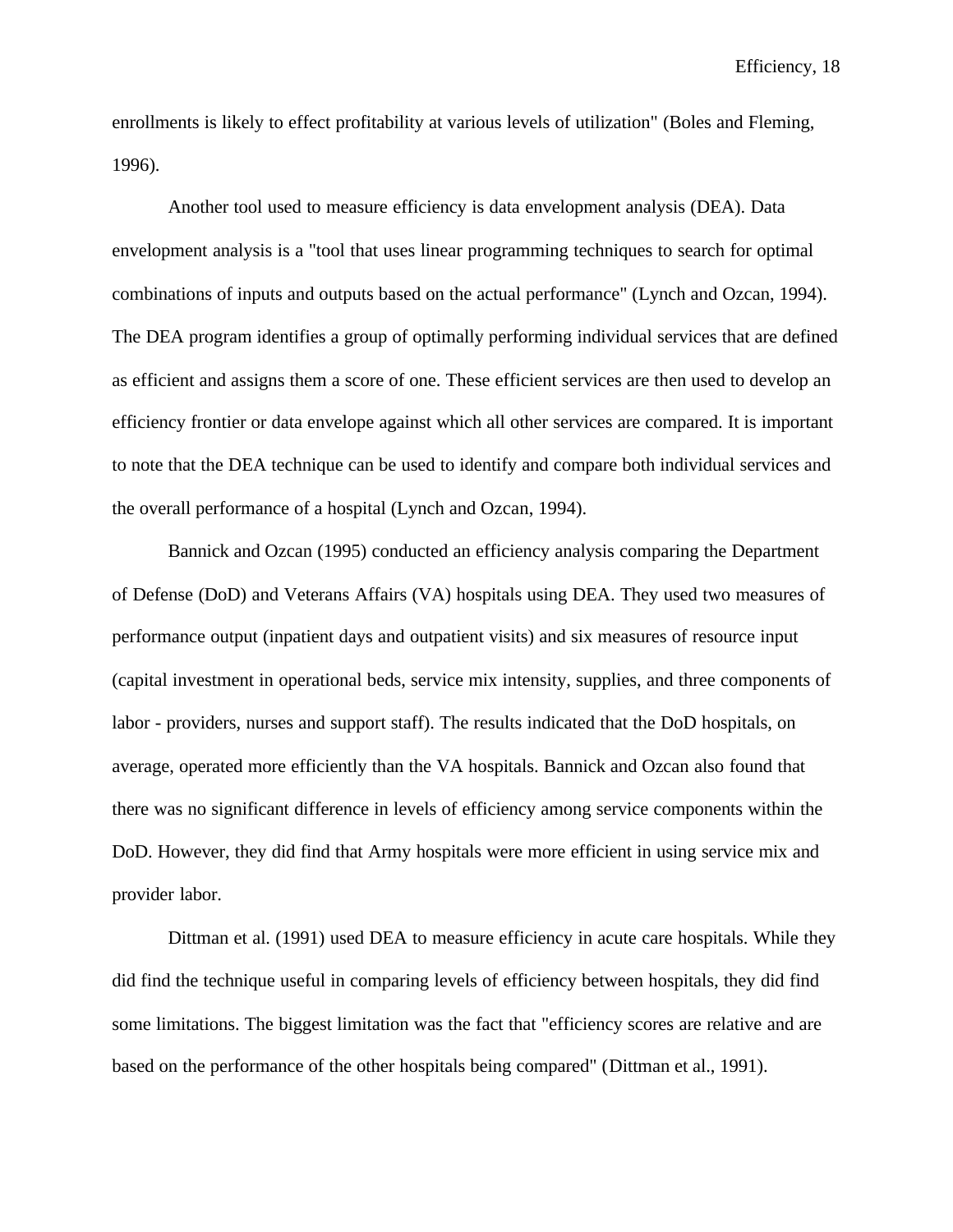enrollments is likely to effect profitability at various levels of utilization" (Boles and Fleming, 1996).

Another tool used to measure efficiency is data envelopment analysis (DEA). Data envelopment analysis is a "tool that uses linear programming techniques to search for optimal combinations of inputs and outputs based on the actual performance" (Lynch and Ozcan, 1994). The DEA program identifies a group of optimally performing individual services that are defined as efficient and assigns them a score of one. These efficient services are then used to develop an efficiency frontier or data envelope against which all other services are compared. It is important to note that the DEA technique can be used to identify and compare both individual services and the overall performance of a hospital (Lynch and Ozcan, 1994).

Bannick and Ozcan (1995) conducted an efficiency analysis comparing the Department of Defense (DoD) and Veterans Affairs (VA) hospitals using DEA. They used two measures of performance output (inpatient days and outpatient visits) and six measures of resource input (capital investment in operational beds, service mix intensity, supplies, and three components of labor - providers, nurses and support staff). The results indicated that the DoD hospitals, on average, operated more efficiently than the VA hospitals. Bannick and Ozcan also found that there was no significant difference in levels of efficiency among service components within the DoD. However, they did find that Army hospitals were more efficient in using service mix and provider labor.

Dittman et al. (1991) used DEA to measure efficiency in acute care hospitals. While they did find the technique useful in comparing levels of efficiency between hospitals, they did find some limitations. The biggest limitation was the fact that "efficiency scores are relative and are based on the performance of the other hospitals being compared" (Dittman et al., 1991).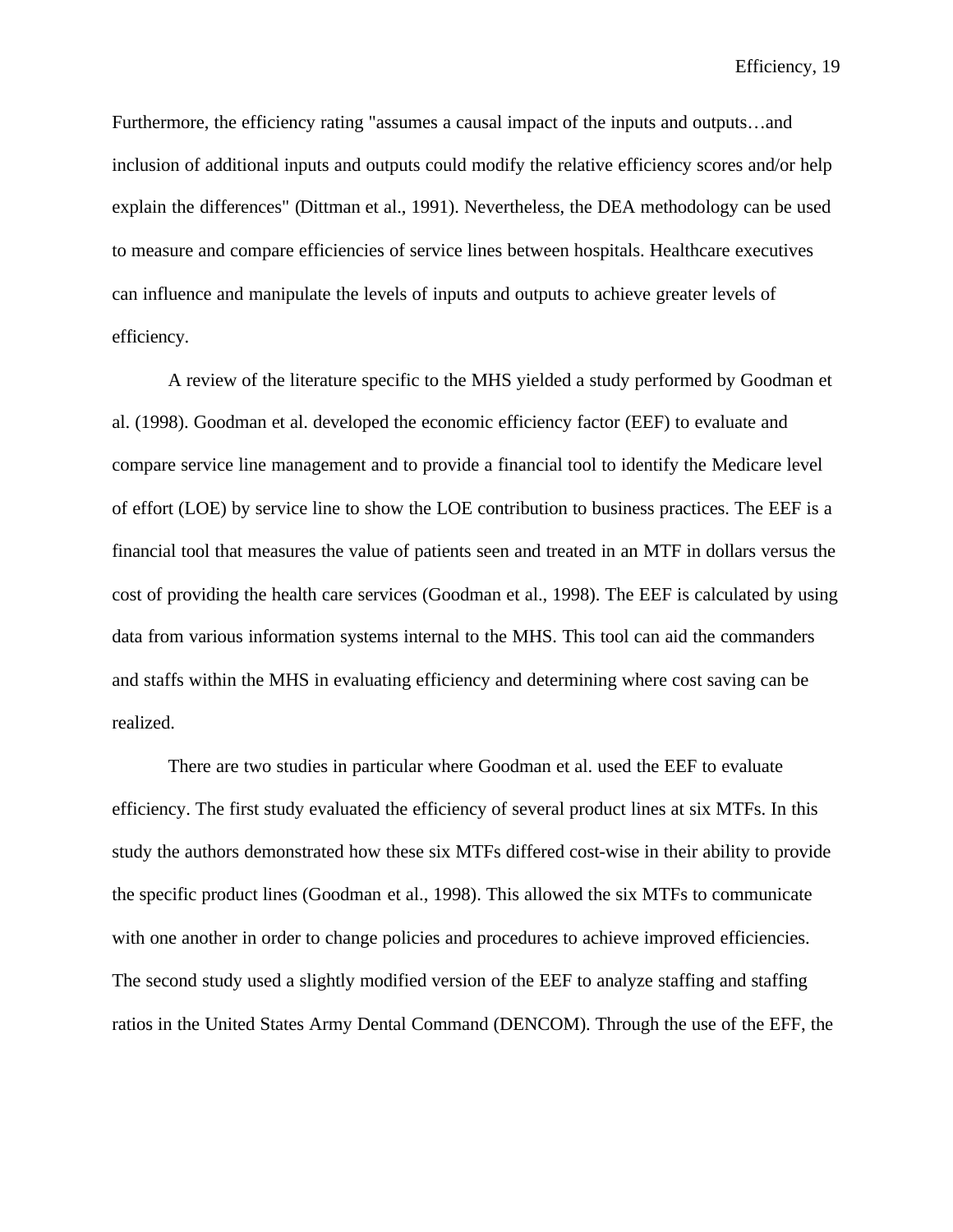Furthermore, the efficiency rating "assumes a causal impact of the inputs and outputs…and inclusion of additional inputs and outputs could modify the relative efficiency scores and/or help explain the differences" (Dittman et al., 1991). Nevertheless, the DEA methodology can be used to measure and compare efficiencies of service lines between hospitals. Healthcare executives can influence and manipulate the levels of inputs and outputs to achieve greater levels of efficiency.

A review of the literature specific to the MHS yielded a study performed by Goodman et al. (1998). Goodman et al. developed the economic efficiency factor (EEF) to evaluate and compare service line management and to provide a financial tool to identify the Medicare level of effort (LOE) by service line to show the LOE contribution to business practices. The EEF is a financial tool that measures the value of patients seen and treated in an MTF in dollars versus the cost of providing the health care services (Goodman et al., 1998). The EEF is calculated by using data from various information systems internal to the MHS. This tool can aid the commanders and staffs within the MHS in evaluating efficiency and determining where cost saving can be realized.

There are two studies in particular where Goodman et al. used the EEF to evaluate efficiency. The first study evaluated the efficiency of several product lines at six MTFs. In this study the authors demonstrated how these six MTFs differed cost-wise in their ability to provide the specific product lines (Goodman et al., 1998). This allowed the six MTFs to communicate with one another in order to change policies and procedures to achieve improved efficiencies. The second study used a slightly modified version of the EEF to analyze staffing and staffing ratios in the United States Army Dental Command (DENCOM). Through the use of the EFF, the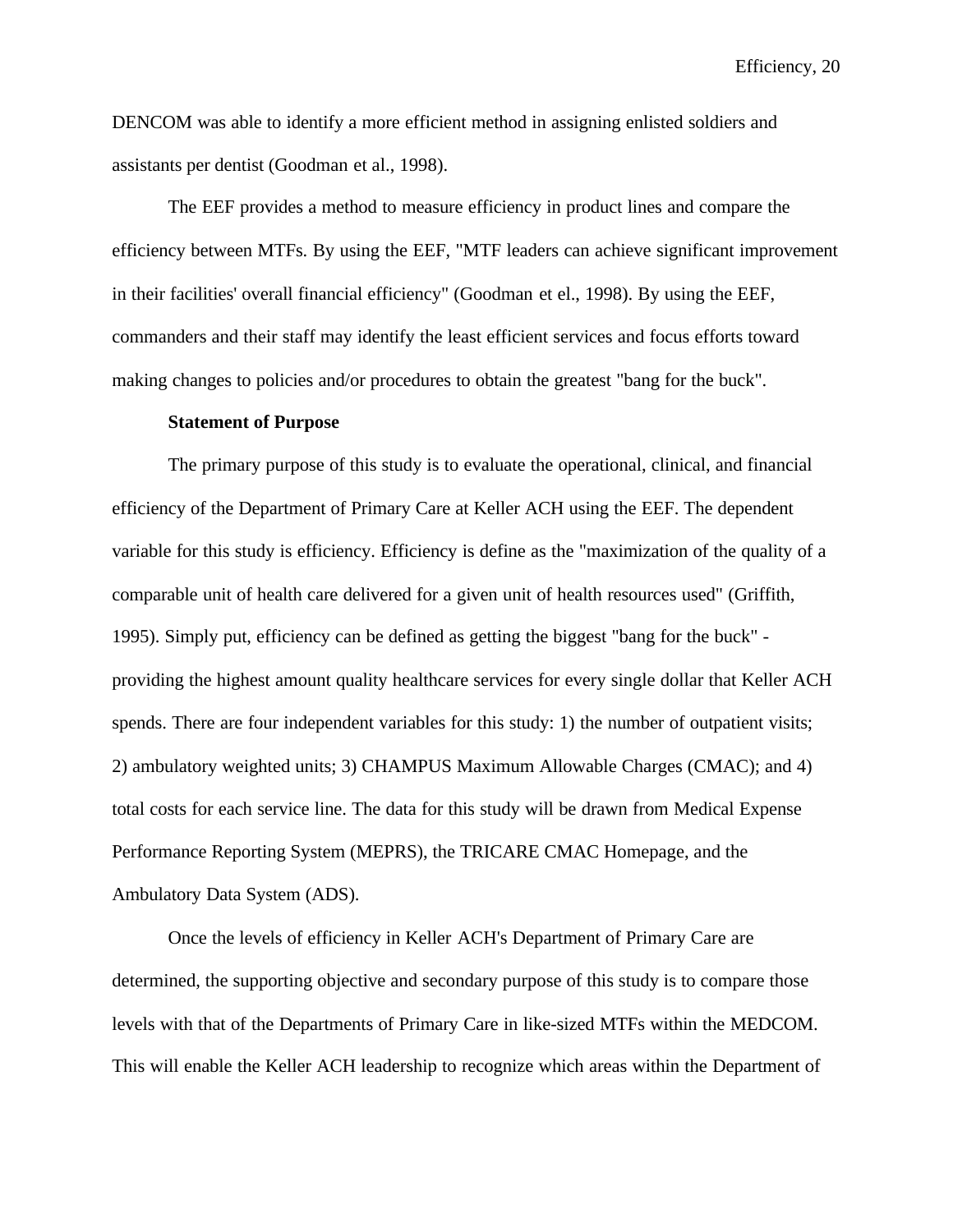DENCOM was able to identify a more efficient method in assigning enlisted soldiers and assistants per dentist (Goodman et al., 1998).

The EEF provides a method to measure efficiency in product lines and compare the efficiency between MTFs. By using the EEF, "MTF leaders can achieve significant improvement in their facilities' overall financial efficiency" (Goodman et el., 1998). By using the EEF, commanders and their staff may identify the least efficient services and focus efforts toward making changes to policies and/or procedures to obtain the greatest "bang for the buck".

### **Statement of Purpose**

The primary purpose of this study is to evaluate the operational, clinical, and financial efficiency of the Department of Primary Care at Keller ACH using the EEF. The dependent variable for this study is efficiency. Efficiency is define as the "maximization of the quality of a comparable unit of health care delivered for a given unit of health resources used" (Griffith, 1995). Simply put, efficiency can be defined as getting the biggest "bang for the buck" providing the highest amount quality healthcare services for every single dollar that Keller ACH spends. There are four independent variables for this study: 1) the number of outpatient visits; 2) ambulatory weighted units; 3) CHAMPUS Maximum Allowable Charges (CMAC); and 4) total costs for each service line. The data for this study will be drawn from Medical Expense Performance Reporting System (MEPRS), the TRICARE CMAC Homepage, and the Ambulatory Data System (ADS).

Once the levels of efficiency in Keller ACH's Department of Primary Care are determined, the supporting objective and secondary purpose of this study is to compare those levels with that of the Departments of Primary Care in like-sized MTFs within the MEDCOM. This will enable the Keller ACH leadership to recognize which areas within the Department of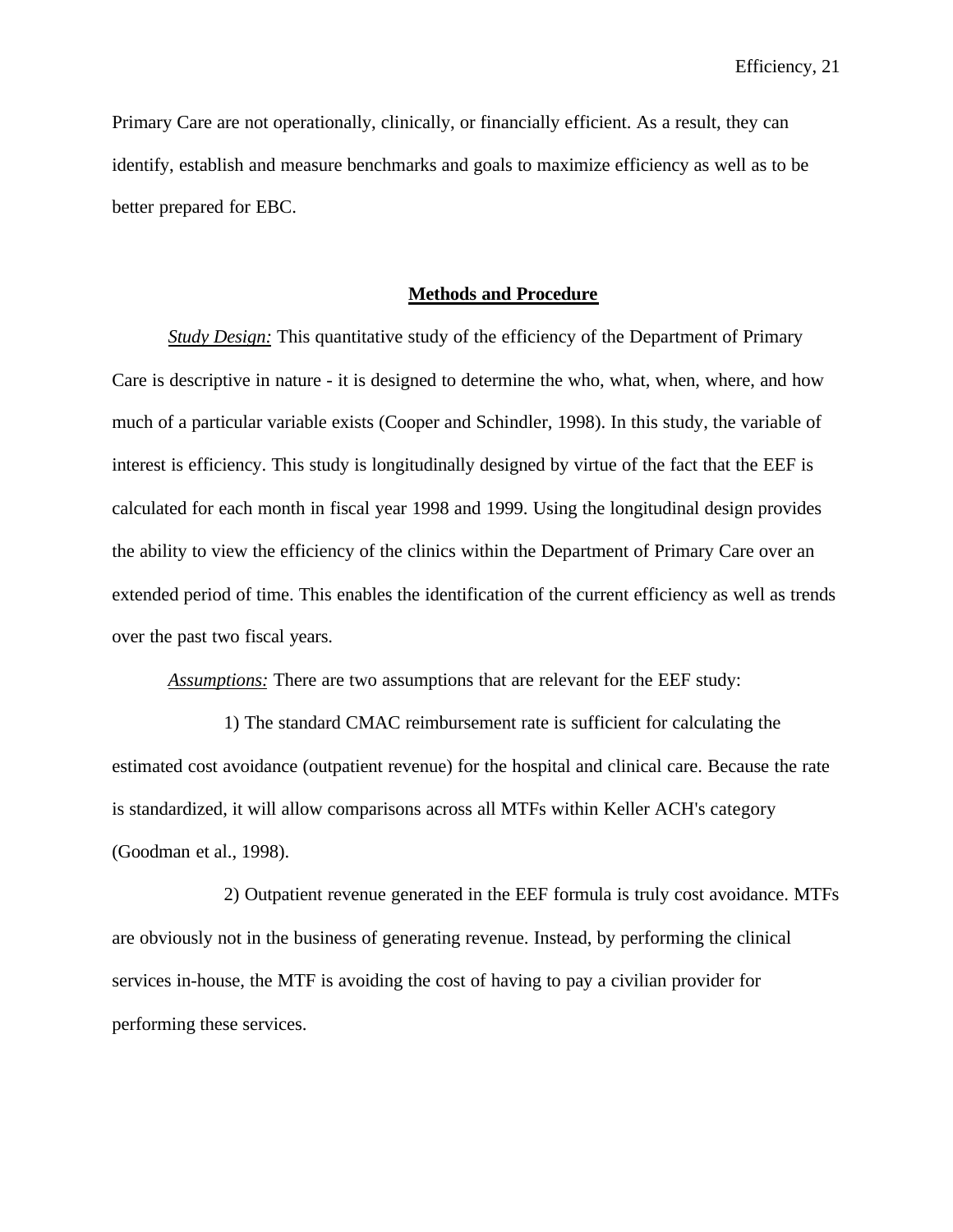Primary Care are not operationally, clinically, or financially efficient. As a result, they can identify, establish and measure benchmarks and goals to maximize efficiency as well as to be better prepared for EBC.

## **Methods and Procedure**

*Study Design:* This quantitative study of the efficiency of the Department of Primary Care is descriptive in nature - it is designed to determine the who, what, when, where, and how much of a particular variable exists (Cooper and Schindler, 1998). In this study, the variable of interest is efficiency. This study is longitudinally designed by virtue of the fact that the EEF is calculated for each month in fiscal year 1998 and 1999. Using the longitudinal design provides the ability to view the efficiency of the clinics within the Department of Primary Care over an extended period of time. This enables the identification of the current efficiency as well as trends over the past two fiscal years.

*Assumptions:* There are two assumptions that are relevant for the EEF study:

1) The standard CMAC reimbursement rate is sufficient for calculating the estimated cost avoidance (outpatient revenue) for the hospital and clinical care. Because the rate is standardized, it will allow comparisons across all MTFs within Keller ACH's category (Goodman et al., 1998).

2) Outpatient revenue generated in the EEF formula is truly cost avoidance. MTFs are obviously not in the business of generating revenue. Instead, by performing the clinical services in-house, the MTF is avoiding the cost of having to pay a civilian provider for performing these services.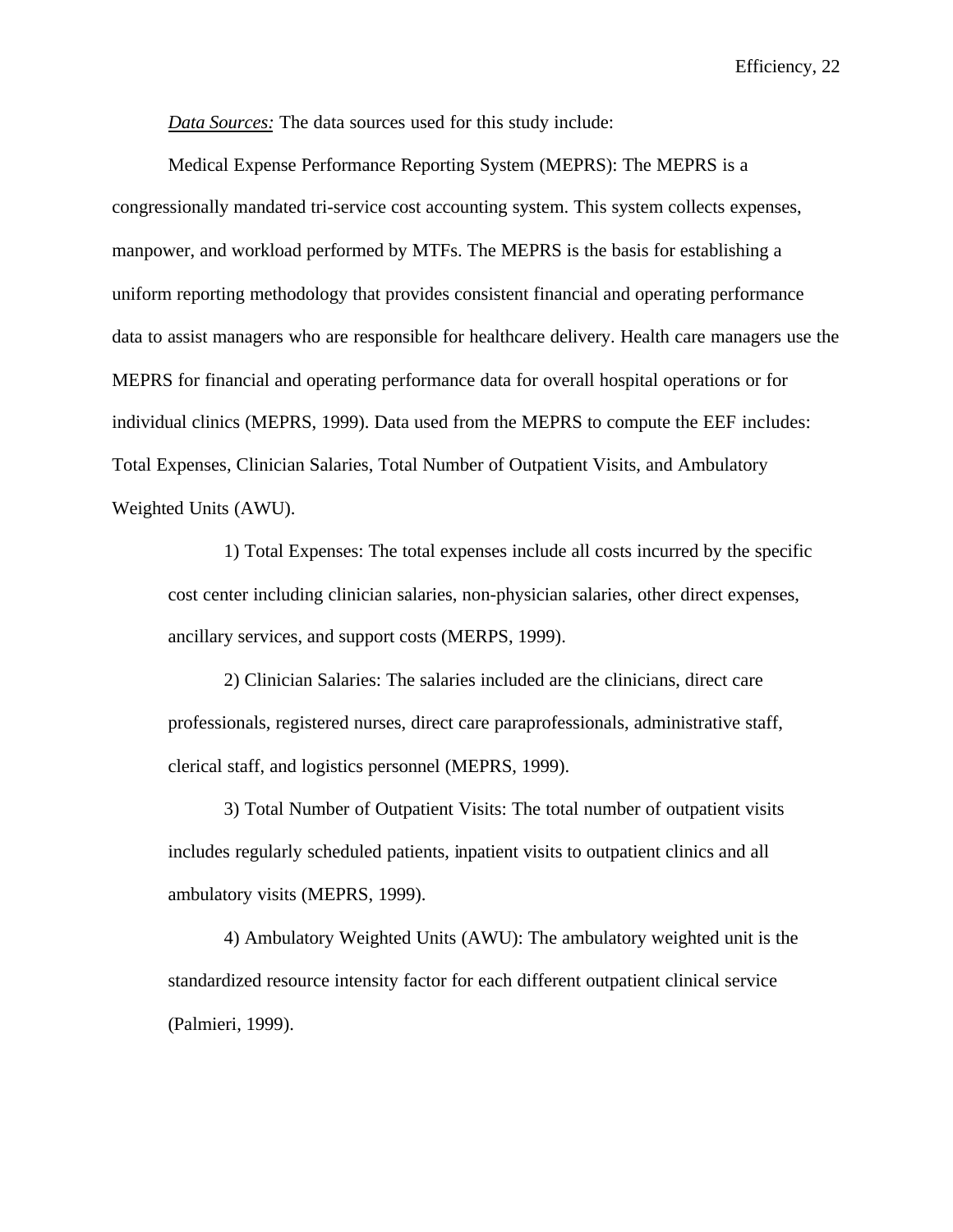*Data Sources:* The data sources used for this study include:

Medical Expense Performance Reporting System (MEPRS): The MEPRS is a congressionally mandated tri-service cost accounting system. This system collects expenses, manpower, and workload performed by MTFs. The MEPRS is the basis for establishing a uniform reporting methodology that provides consistent financial and operating performance data to assist managers who are responsible for healthcare delivery. Health care managers use the MEPRS for financial and operating performance data for overall hospital operations or for individual clinics (MEPRS, 1999). Data used from the MEPRS to compute the EEF includes: Total Expenses, Clinician Salaries, Total Number of Outpatient Visits, and Ambulatory Weighted Units (AWU).

1) Total Expenses: The total expenses include all costs incurred by the specific cost center including clinician salaries, non-physician salaries, other direct expenses, ancillary services, and support costs (MERPS, 1999).

2) Clinician Salaries: The salaries included are the clinicians, direct care professionals, registered nurses, direct care paraprofessionals, administrative staff, clerical staff, and logistics personnel (MEPRS, 1999).

3) Total Number of Outpatient Visits: The total number of outpatient visits includes regularly scheduled patients, inpatient visits to outpatient clinics and all ambulatory visits (MEPRS, 1999).

4) Ambulatory Weighted Units (AWU): The ambulatory weighted unit is the standardized resource intensity factor for each different outpatient clinical service (Palmieri, 1999).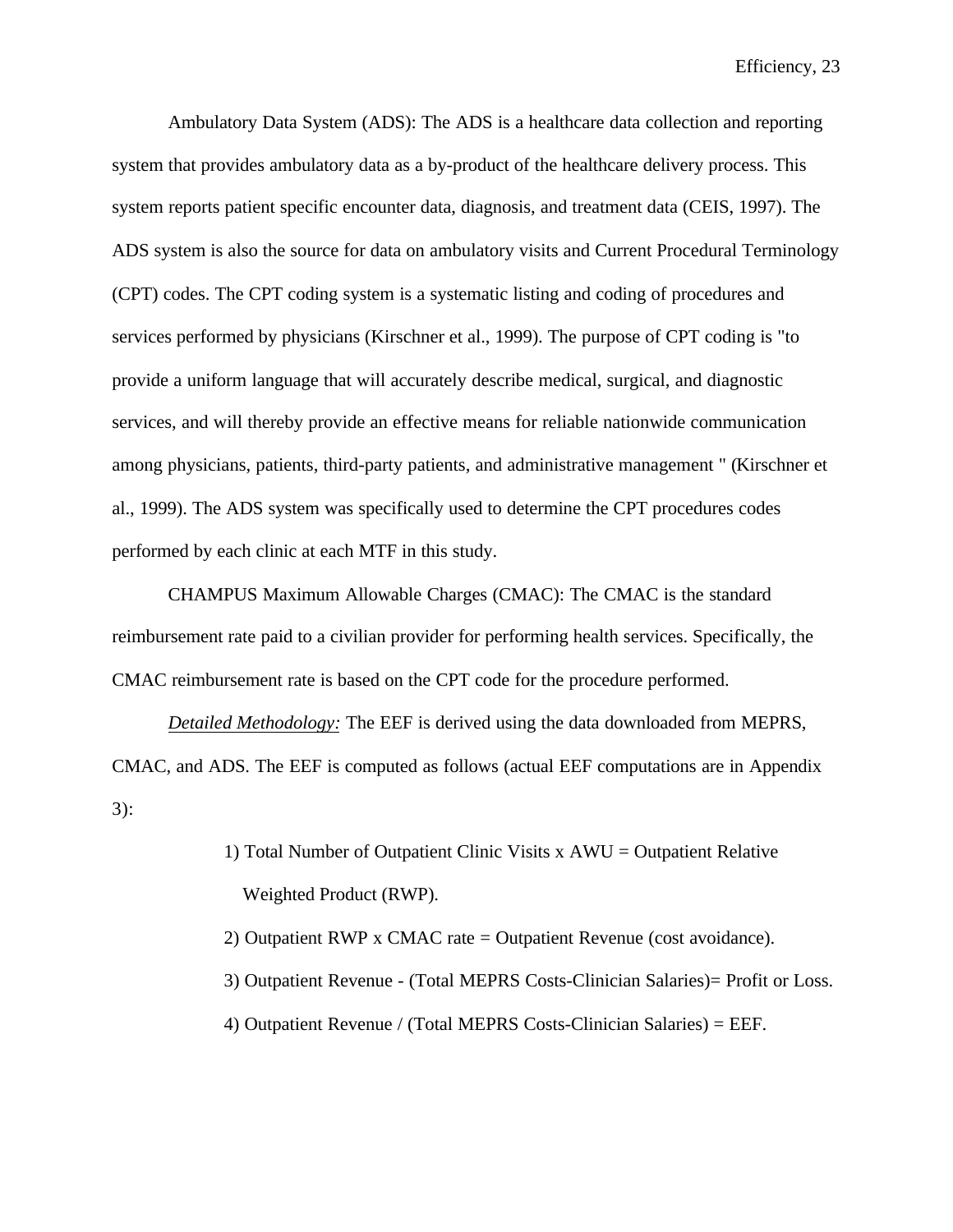Ambulatory Data System (ADS): The ADS is a healthcare data collection and reporting system that provides ambulatory data as a by-product of the healthcare delivery process. This system reports patient specific encounter data, diagnosis, and treatment data (CEIS, 1997). The ADS system is also the source for data on ambulatory visits and Current Procedural Terminology (CPT) codes. The CPT coding system is a systematic listing and coding of procedures and services performed by physicians (Kirschner et al., 1999). The purpose of CPT coding is "to provide a uniform language that will accurately describe medical, surgical, and diagnostic services, and will thereby provide an effective means for reliable nationwide communication among physicians, patients, third-party patients, and administrative management " (Kirschner et al., 1999). The ADS system was specifically used to determine the CPT procedures codes performed by each clinic at each MTF in this study.

CHAMPUS Maximum Allowable Charges (CMAC): The CMAC is the standard reimbursement rate paid to a civilian provider for performing health services. Specifically, the CMAC reimbursement rate is based on the CPT code for the procedure performed.

*Detailed Methodology:* The EEF is derived using the data downloaded from MEPRS, CMAC, and ADS. The EEF is computed as follows (actual EEF computations are in Appendix 3):

- 1) Total Number of Outpatient Clinic Visits  $x A WU =$  Outpatient Relative Weighted Product (RWP).
- 2) Outpatient RWP x CMAC rate = Outpatient Revenue (cost avoidance).
- 3) Outpatient Revenue (Total MEPRS Costs-Clinician Salaries)= Profit or Loss.
- 4) Outpatient Revenue / (Total MEPRS Costs-Clinician Salaries) = EEF.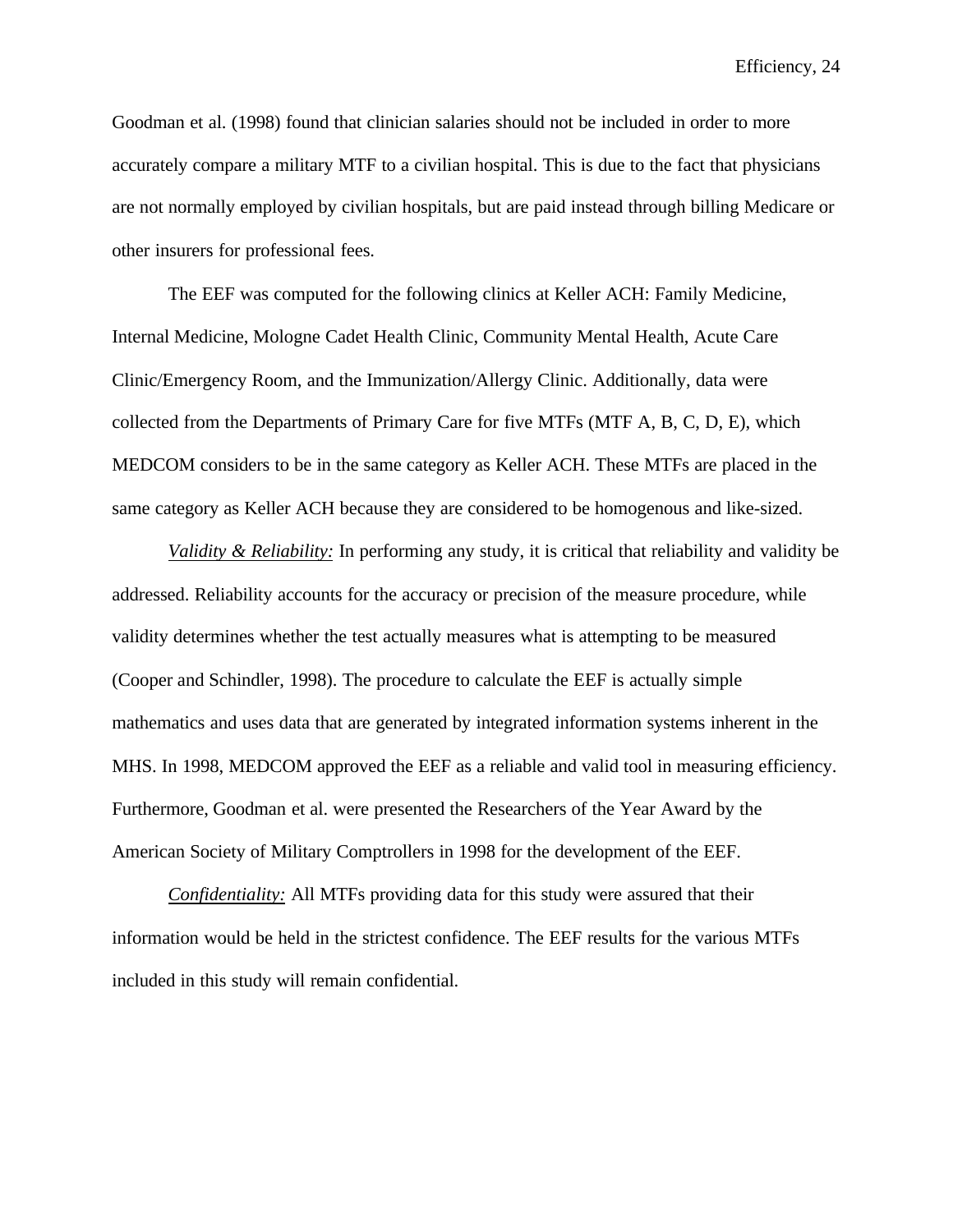Goodman et al. (1998) found that clinician salaries should not be included in order to more accurately compare a military MTF to a civilian hospital. This is due to the fact that physicians are not normally employed by civilian hospitals, but are paid instead through billing Medicare or other insurers for professional fees.

The EEF was computed for the following clinics at Keller ACH: Family Medicine, Internal Medicine, Mologne Cadet Health Clinic, Community Mental Health, Acute Care Clinic/Emergency Room, and the Immunization/Allergy Clinic. Additionally, data were collected from the Departments of Primary Care for five MTFs (MTF A, B, C, D, E), which MEDCOM considers to be in the same category as Keller ACH. These MTFs are placed in the same category as Keller ACH because they are considered to be homogenous and like-sized.

*Validity & Reliability:* In performing any study, it is critical that reliability and validity be addressed. Reliability accounts for the accuracy or precision of the measure procedure, while validity determines whether the test actually measures what is attempting to be measured (Cooper and Schindler, 1998). The procedure to calculate the EEF is actually simple mathematics and uses data that are generated by integrated information systems inherent in the MHS. In 1998, MEDCOM approved the EEF as a reliable and valid tool in measuring efficiency. Furthermore, Goodman et al. were presented the Researchers of the Year Award by the American Society of Military Comptrollers in 1998 for the development of the EEF.

*Confidentiality:* All MTFs providing data for this study were assured that their information would be held in the strictest confidence. The EEF results for the various MTFs included in this study will remain confidential.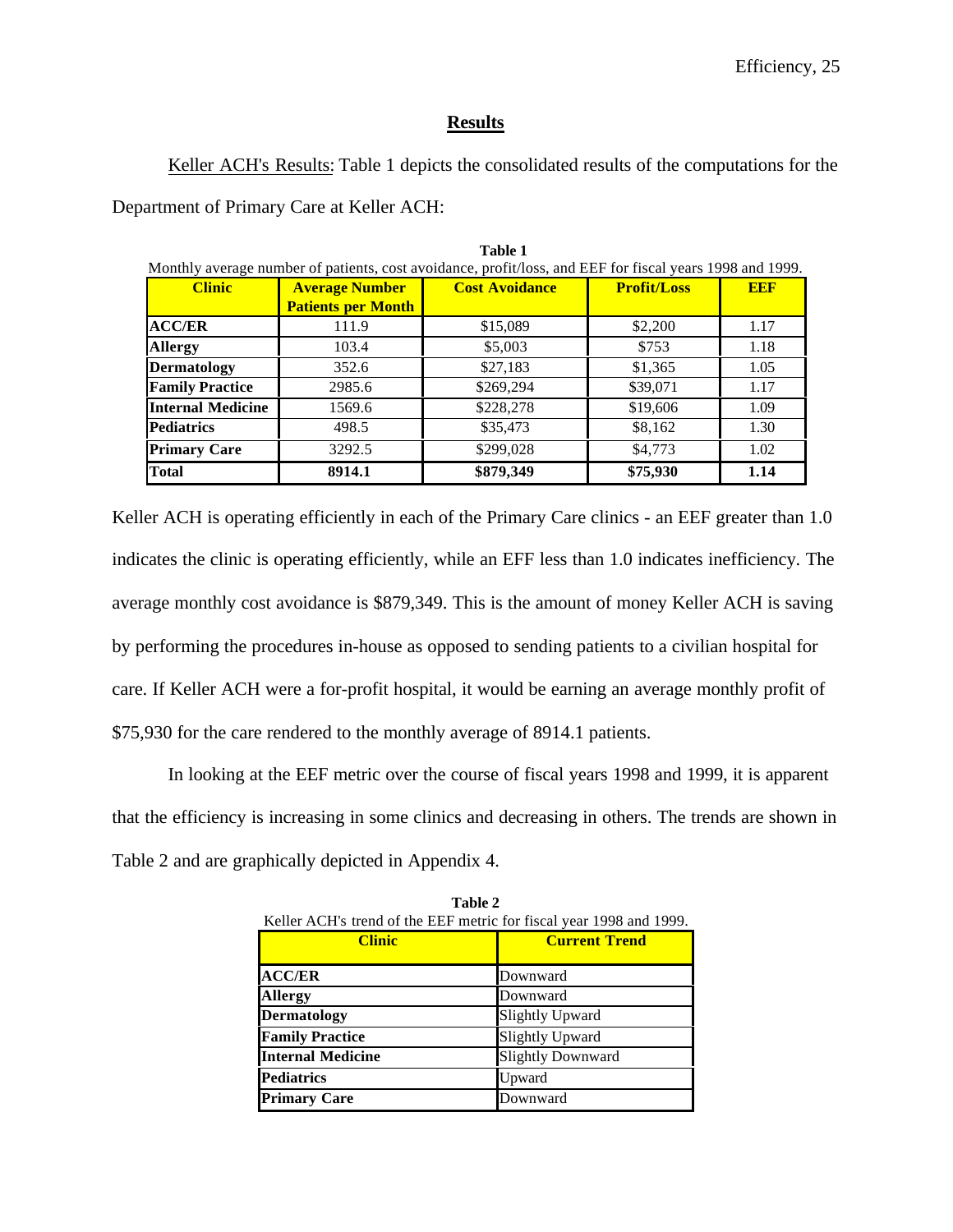## **Results**

Keller ACH's Results: Table 1 depicts the consolidated results of the computations for the Department of Primary Care at Keller ACH:

**Table 1**

| .<br>Monthly average number of patients, cost avoidance, profit/loss, and EEF for fiscal years 1998 and 1999. |                                                    |                       |                    |            |  |  |  |  |  |
|---------------------------------------------------------------------------------------------------------------|----------------------------------------------------|-----------------------|--------------------|------------|--|--|--|--|--|
| <b>Clinic</b>                                                                                                 | <b>Average Number</b><br><b>Patients per Month</b> | <b>Cost Avoidance</b> | <b>Profit/Loss</b> | <b>EEF</b> |  |  |  |  |  |
| <b>ACC/ER</b>                                                                                                 | 111.9                                              | \$15,089              | \$2,200            | 1.17       |  |  |  |  |  |
| <b>Allergy</b>                                                                                                | 103.4                                              | \$5,003               | \$753              | 1.18       |  |  |  |  |  |
| <b>Dermatology</b>                                                                                            | 352.6                                              | \$27,183              | \$1,365            | 1.05       |  |  |  |  |  |
| <b>Family Practice</b>                                                                                        | 2985.6                                             | \$269,294             | \$39,071           | 1.17       |  |  |  |  |  |
| <b>Internal Medicine</b>                                                                                      | 1569.6                                             | \$228,278             | \$19,606           | 1.09       |  |  |  |  |  |
| <b>Pediatrics</b>                                                                                             | 498.5                                              | \$35,473              | \$8,162            | 1.30       |  |  |  |  |  |
| <b>Primary Care</b>                                                                                           | 3292.5                                             | \$299,028             | \$4,773            | 1.02       |  |  |  |  |  |
| <b>Total</b>                                                                                                  | 8914.1                                             | \$879,349             | \$75,930           | 1.14       |  |  |  |  |  |

Keller ACH is operating efficiently in each of the Primary Care clinics - an EEF greater than 1.0 indicates the clinic is operating efficiently, while an EFF less than 1.0 indicates inefficiency. The average monthly cost avoidance is \$879,349. This is the amount of money Keller ACH is saving by performing the procedures in-house as opposed to sending patients to a civilian hospital for care. If Keller ACH were a for-profit hospital, it would be earning an average monthly profit of \$75,930 for the care rendered to the monthly average of 8914.1 patients.

In looking at the EEF metric over the course of fiscal years 1998 and 1999, it is apparent that the efficiency is increasing in some clinics and decreasing in others. The trends are shown in Table 2 and are graphically depicted in Appendix 4.

| Keller ACH's trend of the EEF metric for fiscal year 1998 and 1999. |                          |  |  |  |  |  |  |
|---------------------------------------------------------------------|--------------------------|--|--|--|--|--|--|
| <b>Clinic</b>                                                       | <b>Current Trend</b>     |  |  |  |  |  |  |
|                                                                     |                          |  |  |  |  |  |  |
| <b>ACC/ER</b>                                                       | Downward                 |  |  |  |  |  |  |
| <b>Allergy</b>                                                      | Downward                 |  |  |  |  |  |  |
| <b>Dermatology</b>                                                  | <b>Slightly Upward</b>   |  |  |  |  |  |  |
| <b>Family Practice</b>                                              | <b>Slightly Upward</b>   |  |  |  |  |  |  |
| <b>Internal Medicine</b>                                            | <b>Slightly Downward</b> |  |  |  |  |  |  |
| <b>Pediatrics</b>                                                   | Upward                   |  |  |  |  |  |  |
| <b>Primary Care</b>                                                 | Downward                 |  |  |  |  |  |  |

| <b>Table 2</b>                                                      |                      |  |  |  |  |  |
|---------------------------------------------------------------------|----------------------|--|--|--|--|--|
| Keller ACH's trend of the EEF metric for fiscal year 1998 and 1999. |                      |  |  |  |  |  |
| <b>Clinic</b>                                                       | <b>Current Trend</b> |  |  |  |  |  |
| <b>ACC/ER</b>                                                       | Downward             |  |  |  |  |  |
| $\Delta$ lloway                                                     | Doumuord             |  |  |  |  |  |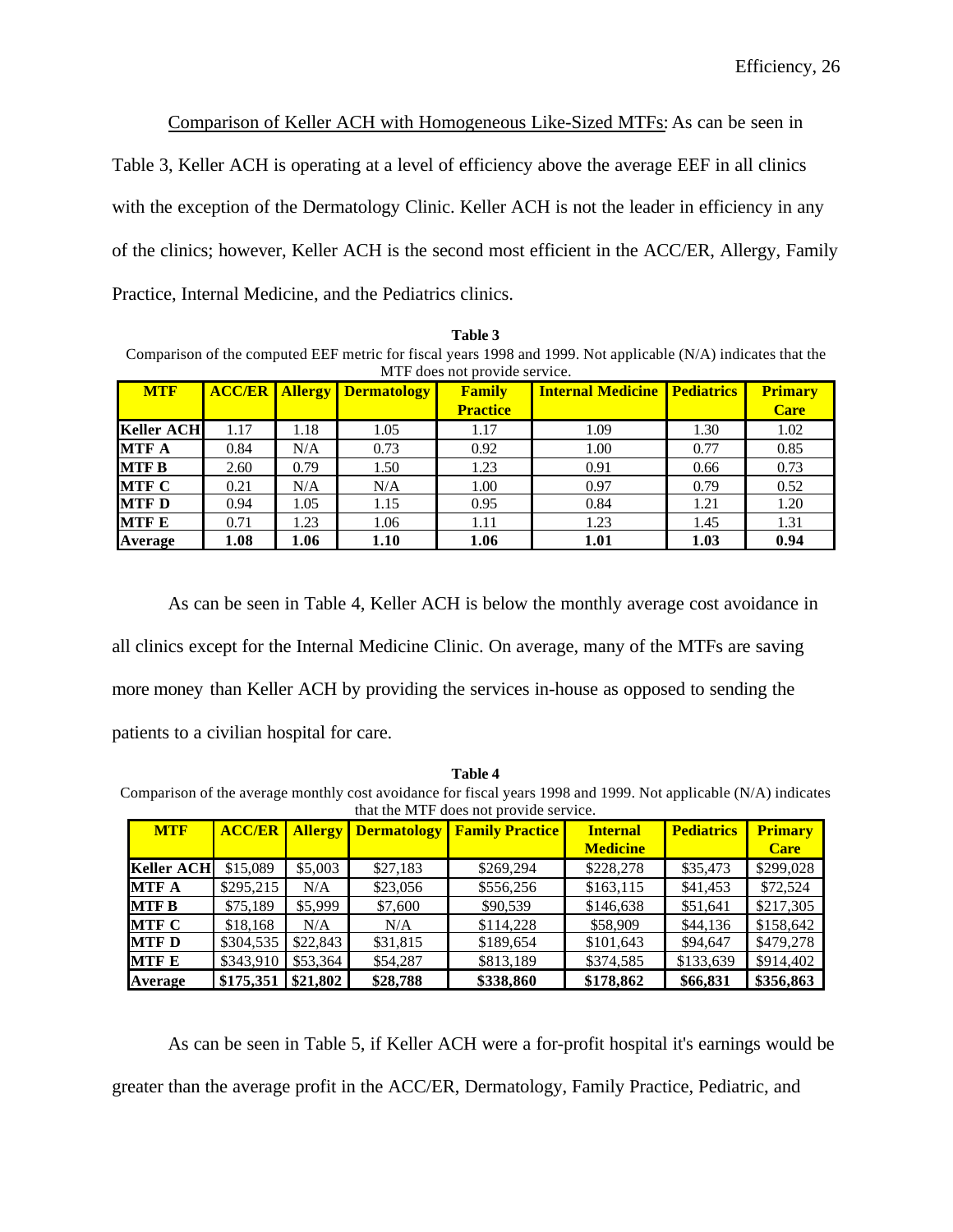Comparison of Keller ACH with Homogeneous Like-Sized MTFs: As can be seen in

Table 3, Keller ACH is operating at a level of efficiency above the average EEF in all clinics

with the exception of the Dermatology Clinic. Keller ACH is not the leader in efficiency in any

of the clinics; however, Keller ACH is the second most efficient in the ACC/ER, Allergy, Family

Practice, Internal Medicine, and the Pediatrics clinics.

**Table 3** Comparison of the computed EEF metric for fiscal years 1998 and 1999. Not applicable (N/A) indicates that the MTF does not provide service.

| <b>MTF</b>        | <b>ACC/ER</b> |      | <b>Allergy Dermatology</b> | Family<br><b>Practice</b> | <b>Internal Medicine   Pediatrics</b> |      | Primary<br><b>Care</b> |
|-------------------|---------------|------|----------------------------|---------------------------|---------------------------------------|------|------------------------|
| <b>Keller ACH</b> | 1.17          | 1.18 | 1.05                       | 1.17                      | 1.09                                  | 1.30 | 1.02                   |
| <b>MTF A</b>      | 0.84          | N/A  | 0.73                       | 0.92                      | 1.00                                  | 0.77 | 0.85                   |
| <b>MTF B</b>      | 2.60          | 0.79 | 1.50                       | 1.23                      | 0.91                                  | 0.66 | 0.73                   |
| <b>MTF C</b>      | 0.21          | N/A  | N/A                        | 1.00                      | 0.97                                  | 0.79 | 0.52                   |
| <b>MTF D</b>      | 0.94          | 1.05 | 1.15                       | 0.95                      | 0.84                                  | 1.21 | 1.20                   |
| <b>MTF E</b>      | 0.71          | 1.23 | 1.06                       | 1.11                      | 1.23                                  | 1.45 | 1.31                   |
| Average           | 1.08          | 1.06 | 1.10                       | 1.06                      | 1.01                                  | 1.03 | 0.94                   |

As can be seen in Table 4, Keller ACH is below the monthly average cost avoidance in all clinics except for the Internal Medicine Clinic. On average, many of the MTFs are saving more money than Keller ACH by providing the services in-house as opposed to sending the patients to a civilian hospital for care.

**Table 4** Comparison of the average monthly cost avoidance for fiscal years 1998 and 1999. Not applicable (N/A) indicates that the MTF does not provide service.

| <b>MTF</b>        | <b>ACC/ER</b> | <b>Allergy</b> | <b>Dermatology</b> | <b>Family Practice</b> | <b>Internal</b> | <b>Pediatrics</b> | <b>Primary</b> |
|-------------------|---------------|----------------|--------------------|------------------------|-----------------|-------------------|----------------|
|                   |               |                |                    |                        | <b>Medicine</b> |                   | <b>Care</b>    |
| <b>Keller ACH</b> | \$15,089      | \$5,003        | \$27,183           | \$269,294              | \$228,278       | \$35,473          | \$299,028      |
| <b>MTF A</b>      | \$295,215     | N/A            | \$23,056           | \$556,256              | \$163,115       | \$41,453          | \$72,524       |
| <b>MTF B</b>      | \$75,189      | \$5,999        | \$7,600            | \$90,539               | \$146,638       | \$51,641          | \$217,305      |
| <b>MTF C</b>      | \$18,168      | N/A            | N/A                | \$114,228              | \$58,909        | \$44,136          | \$158,642      |
| <b>MTF D</b>      | \$304,535     | \$22,843       | \$31,815           | \$189,654              | \$101,643       | \$94,647          | \$479,278      |
| <b>MTF E</b>      | \$343,910     | \$53,364       | \$54,287           | \$813,189              | \$374,585       | \$133,639         | \$914,402      |
| Average           | \$175,351     | \$21,802       | \$28,788           | \$338,860              | \$178,862       | \$66,831          | \$356,863      |

As can be seen in Table 5, if Keller ACH were a for-profit hospital it's earnings would be greater than the average profit in the ACC/ER, Dermatology, Family Practice, Pediatric, and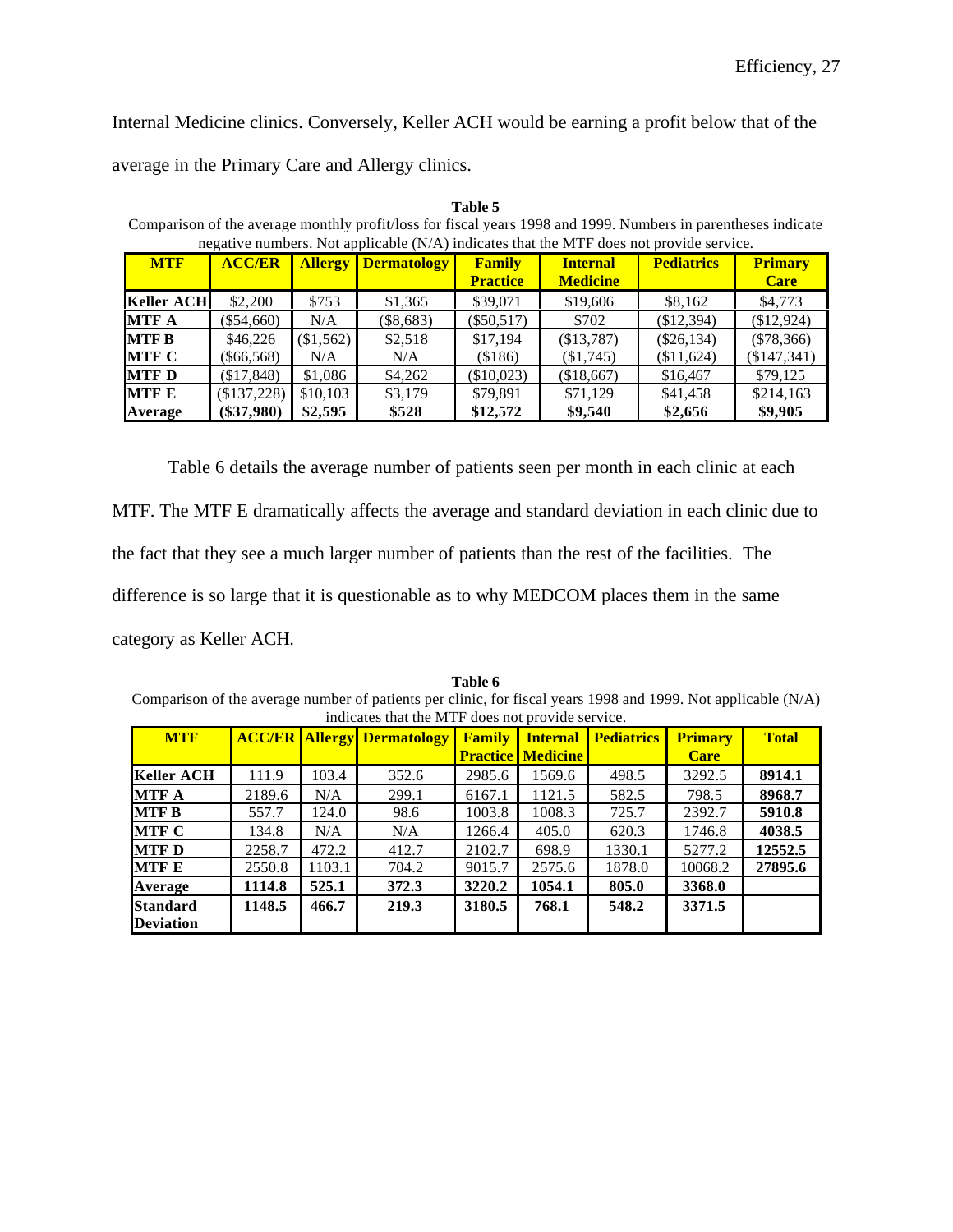Internal Medicine clinics. Conversely, Keller ACH would be earning a profit below that of the

average in the Primary Care and Allergy clinics.

| negative numbers. Not applicable (N/A) indicates that the MTF does not provide service. |               |                |                    |                                  |                                    |                   |                               |  |  |
|-----------------------------------------------------------------------------------------|---------------|----------------|--------------------|----------------------------------|------------------------------------|-------------------|-------------------------------|--|--|
| <b>MTF</b>                                                                              | <b>ACC/ER</b> | <b>Allergy</b> | <b>Dermatology</b> | <b>Family</b><br><b>Practice</b> | <b>Internal</b><br><b>Medicine</b> | <b>Pediatrics</b> | <b>Primary</b><br><b>Care</b> |  |  |
| <b>Keller ACH</b>                                                                       | \$2,200       | \$753          | \$1,365            | \$39,071                         | \$19,606                           | \$8,162           | \$4,773                       |  |  |
| <b>MTF A</b>                                                                            | $(\$54,660)$  | N/A            | $(\$8,683)$        | $(\$50,517)$                     | \$702                              | (\$12,394)        | (\$12,924)                    |  |  |
| <b>MTF B</b>                                                                            | \$46,226      | (\$1,562)      | \$2,518            | \$17.194                         | (\$13,787)                         | $(\$26,134)$      | $(\$78,366)$                  |  |  |
| <b>MTF C</b>                                                                            | $(\$66,568)$  | N/A            | N/A                | (\$186)                          | (\$1,745)                          | (\$11,624)        | (\$147,341)                   |  |  |
| <b>MTF D</b>                                                                            | (\$17,848)    | \$1,086        | \$4,262            | (\$10,023)                       | (\$18,667)                         | \$16,467          | \$79,125                      |  |  |
| <b>MTF E</b>                                                                            | (\$137,228)   | \$10,103       | \$3,179            | \$79.891                         | \$71,129                           | \$41,458          | \$214,163                     |  |  |
| Average                                                                                 | $(\$37,980)$  | \$2,595        | \$528              | \$12,572                         | \$9,540                            | \$2,656           | \$9,905                       |  |  |

**Table 5** Comparison of the average monthly profit/loss for fiscal years 1998 and 1999. Numbers in parentheses indicate

Table 6 details the average number of patients seen per month in each clinic at each

MTF. The MTF E dramatically affects the average and standard deviation in each clinic due to

the fact that they see a much larger number of patients than the rest of the facilities. The

difference is so large that it is questionable as to why MEDCOM places them in the same

category as Keller ACH.

|                                                                                                               |        |        |                                   | 1 avit v      |                              |                   |                |              |  |
|---------------------------------------------------------------------------------------------------------------|--------|--------|-----------------------------------|---------------|------------------------------|-------------------|----------------|--------------|--|
| Comparison of the average number of patients per clinic, for fiscal years 1998 and 1999. Not applicable (N/A) |        |        |                                   |               |                              |                   |                |              |  |
| indicates that the MTF does not provide service.                                                              |        |        |                                   |               |                              |                   |                |              |  |
| <b>MTF</b>                                                                                                    |        |        | <b>ACC/ER Allergy Dermatology</b> | <b>Family</b> | <b>Internal</b>              | <b>Pediatrics</b> | <b>Primary</b> | <b>Total</b> |  |
|                                                                                                               |        |        |                                   |               | <b>Practice   Medicine  </b> |                   | <b>Care</b>    |              |  |
| Keller ACH                                                                                                    | 111.9  | 103.4  | 352.6                             | 2985.6        | 1569.6                       | 498.5             | 3292.5         | 8914.1       |  |
| <b>MTF A</b>                                                                                                  | 2189.6 | N/A    | 299.1                             | 6167.1        | 1121.5                       | 582.5             | 798.5          | 8968.7       |  |
| <b>MTF B</b>                                                                                                  | 557.7  | 124.0  | 98.6                              | 1003.8        | 1008.3                       | 725.7             | 2392.7         | 5910.8       |  |
| MTF C                                                                                                         | 134.8  | N/A    | N/A                               | 1266.4        | 405.0                        | 620.3             | 1746.8         | 4038.5       |  |
| <b>IMTF D</b>                                                                                                 | 2258.7 | 472.2  | 412.7                             | 2102.7        | 698.9                        | 1330.1            | 5277.2         | 12552.5      |  |
| <b>MTF E</b>                                                                                                  | 2550.8 | 1103.1 | 704.2                             | 9015.7        | 2575.6                       | 1878.0            | 10068.2        | 27895.6      |  |
| Average                                                                                                       | 1114.8 | 525.1  | 372.3                             | 3220.2        | 1054.1                       | 805.0             | 3368.0         |              |  |
| Standard                                                                                                      | 1148.5 | 466.7  | 219.3                             | 3180.5        | 768.1                        | 548.2             | 3371.5         |              |  |
| <b>Deviation</b>                                                                                              |        |        |                                   |               |                              |                   |                |              |  |

**Table 6**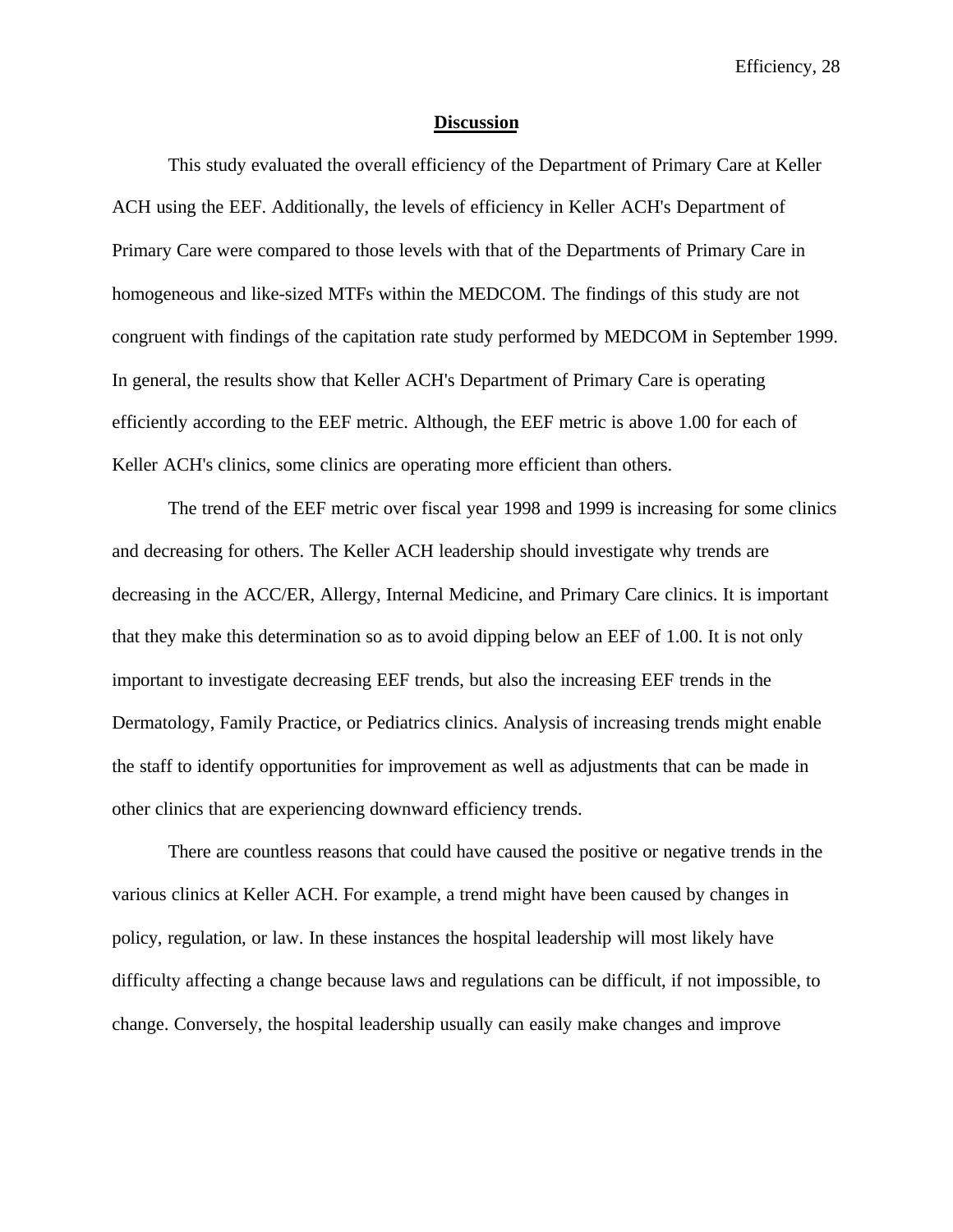### **Discussion**

This study evaluated the overall efficiency of the Department of Primary Care at Keller ACH using the EEF. Additionally, the levels of efficiency in Keller ACH's Department of Primary Care were compared to those levels with that of the Departments of Primary Care in homogeneous and like-sized MTFs within the MEDCOM. The findings of this study are not congruent with findings of the capitation rate study performed by MEDCOM in September 1999. In general, the results show that Keller ACH's Department of Primary Care is operating efficiently according to the EEF metric. Although, the EEF metric is above 1.00 for each of Keller ACH's clinics, some clinics are operating more efficient than others.

The trend of the EEF metric over fiscal year 1998 and 1999 is increasing for some clinics and decreasing for others. The Keller ACH leadership should investigate why trends are decreasing in the ACC/ER, Allergy, Internal Medicine, and Primary Care clinics. It is important that they make this determination so as to avoid dipping below an EEF of 1.00. It is not only important to investigate decreasing EEF trends, but also the increasing EEF trends in the Dermatology, Family Practice, or Pediatrics clinics. Analysis of increasing trends might enable the staff to identify opportunities for improvement as well as adjustments that can be made in other clinics that are experiencing downward efficiency trends.

There are countless reasons that could have caused the positive or negative trends in the various clinics at Keller ACH. For example, a trend might have been caused by changes in policy, regulation, or law. In these instances the hospital leadership will most likely have difficulty affecting a change because laws and regulations can be difficult, if not impossible, to change. Conversely, the hospital leadership usually can easily make changes and improve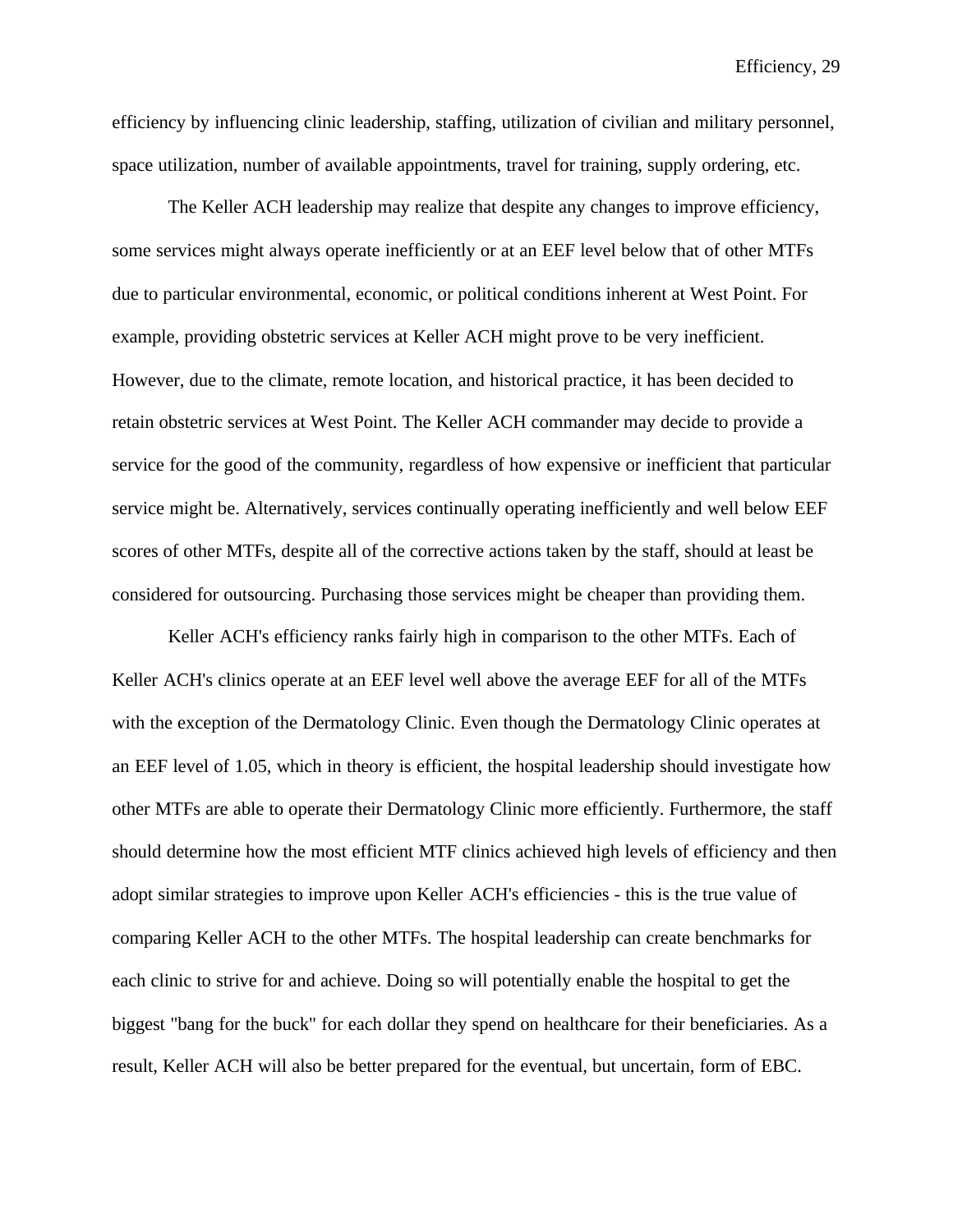efficiency by influencing clinic leadership, staffing, utilization of civilian and military personnel, space utilization, number of available appointments, travel for training, supply ordering, etc.

The Keller ACH leadership may realize that despite any changes to improve efficiency, some services might always operate inefficiently or at an EEF level below that of other MTFs due to particular environmental, economic, or political conditions inherent at West Point. For example, providing obstetric services at Keller ACH might prove to be very inefficient. However, due to the climate, remote location, and historical practice, it has been decided to retain obstetric services at West Point. The Keller ACH commander may decide to provide a service for the good of the community, regardless of how expensive or inefficient that particular service might be. Alternatively, services continually operating inefficiently and well below EEF scores of other MTFs, despite all of the corrective actions taken by the staff, should at least be considered for outsourcing. Purchasing those services might be cheaper than providing them.

Keller ACH's efficiency ranks fairly high in comparison to the other MTFs. Each of Keller ACH's clinics operate at an EEF level well above the average EEF for all of the MTFs with the exception of the Dermatology Clinic. Even though the Dermatology Clinic operates at an EEF level of 1.05, which in theory is efficient, the hospital leadership should investigate how other MTFs are able to operate their Dermatology Clinic more efficiently. Furthermore, the staff should determine how the most efficient MTF clinics achieved high levels of efficiency and then adopt similar strategies to improve upon Keller ACH's efficiencies - this is the true value of comparing Keller ACH to the other MTFs. The hospital leadership can create benchmarks for each clinic to strive for and achieve. Doing so will potentially enable the hospital to get the biggest "bang for the buck" for each dollar they spend on healthcare for their beneficiaries. As a result, Keller ACH will also be better prepared for the eventual, but uncertain, form of EBC.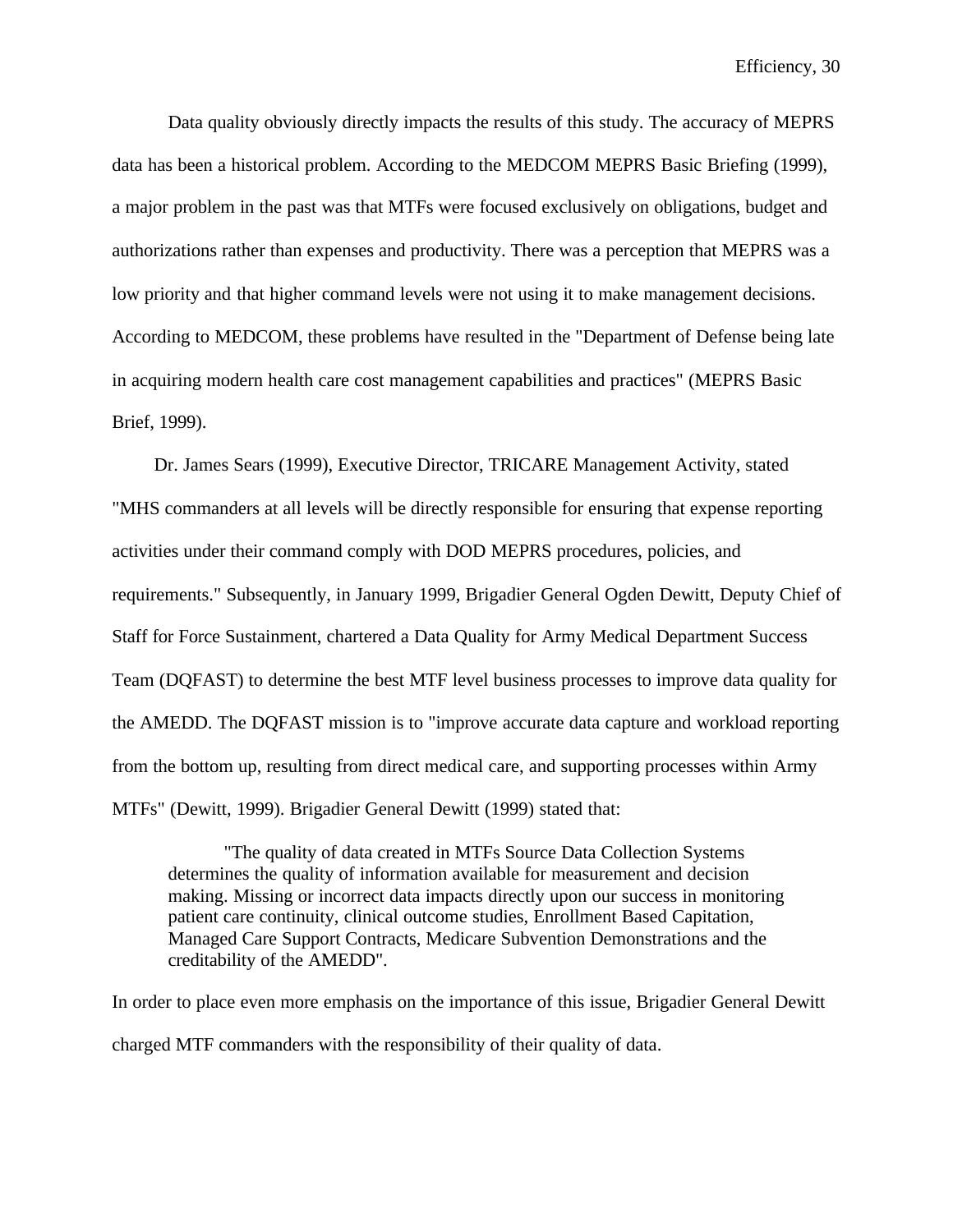Data quality obviously directly impacts the results of this study. The accuracy of MEPRS data has been a historical problem. According to the MEDCOM MEPRS Basic Briefing (1999), a major problem in the past was that MTFs were focused exclusively on obligations, budget and authorizations rather than expenses and productivity. There was a perception that MEPRS was a low priority and that higher command levels were not using it to make management decisions. According to MEDCOM, these problems have resulted in the "Department of Defense being late in acquiring modern health care cost management capabilities and practices" (MEPRS Basic Brief, 1999).

Dr. James Sears (1999), Executive Director, TRICARE Management Activity, stated "MHS commanders at all levels will be directly responsible for ensuring that expense reporting activities under their command comply with DOD MEPRS procedures, policies, and requirements." Subsequently, in January 1999, Brigadier General Ogden Dewitt, Deputy Chief of Staff for Force Sustainment, chartered a Data Quality for Army Medical Department Success Team (DQFAST) to determine the best MTF level business processes to improve data quality for the AMEDD. The DQFAST mission is to "improve accurate data capture and workload reporting from the bottom up, resulting from direct medical care, and supporting processes within Army MTFs" (Dewitt, 1999). Brigadier General Dewitt (1999) stated that:

"The quality of data created in MTFs Source Data Collection Systems determines the quality of information available for measurement and decision making. Missing or incorrect data impacts directly upon our success in monitoring patient care continuity, clinical outcome studies, Enrollment Based Capitation, Managed Care Support Contracts, Medicare Subvention Demonstrations and the creditability of the AMEDD".

In order to place even more emphasis on the importance of this issue, Brigadier General Dewitt charged MTF commanders with the responsibility of their quality of data.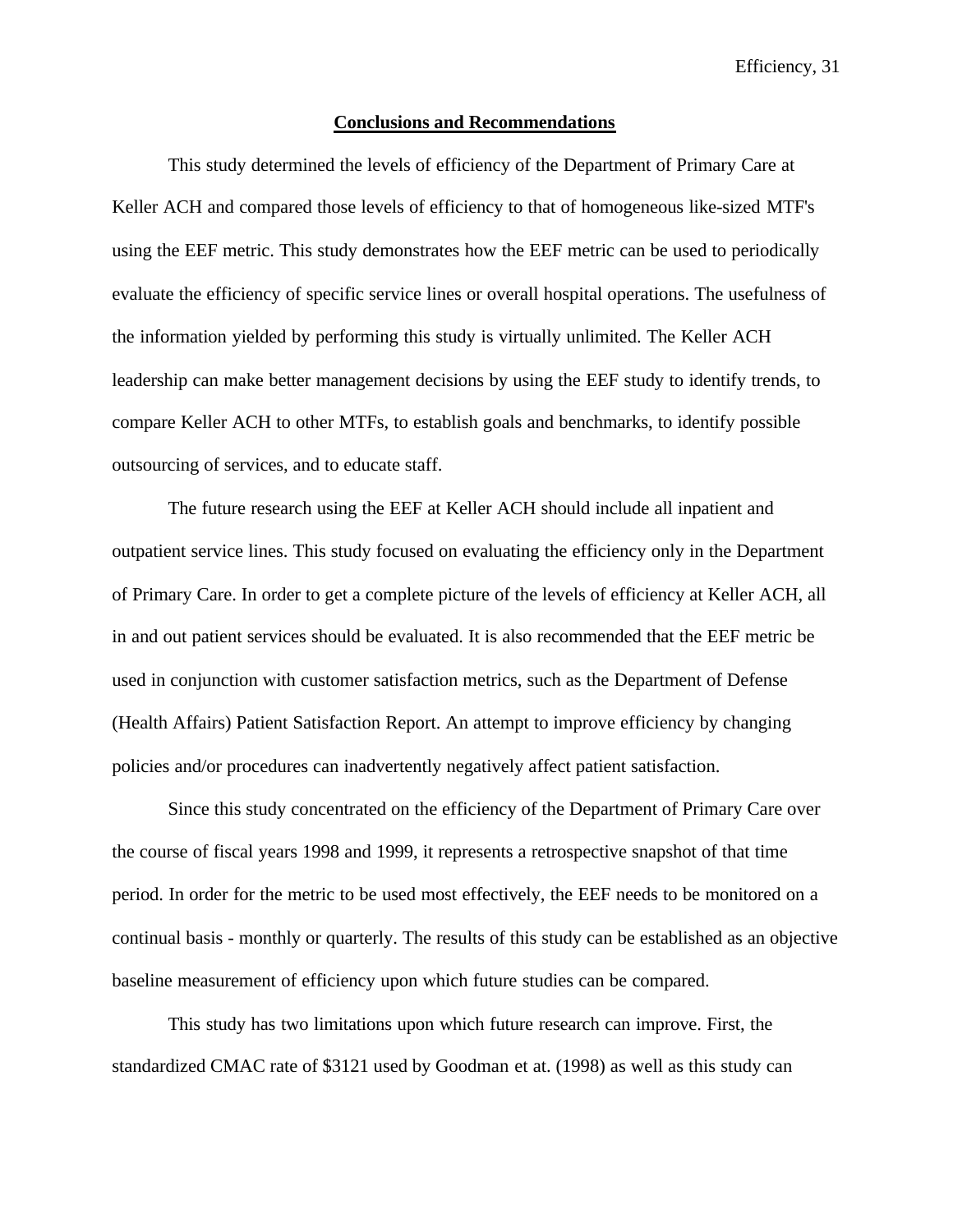### **Conclusions and Recommendations**

This study determined the levels of efficiency of the Department of Primary Care at Keller ACH and compared those levels of efficiency to that of homogeneous like-sized MTF's using the EEF metric. This study demonstrates how the EEF metric can be used to periodically evaluate the efficiency of specific service lines or overall hospital operations. The usefulness of the information yielded by performing this study is virtually unlimited. The Keller ACH leadership can make better management decisions by using the EEF study to identify trends, to compare Keller ACH to other MTFs, to establish goals and benchmarks, to identify possible outsourcing of services, and to educate staff.

The future research using the EEF at Keller ACH should include all inpatient and outpatient service lines. This study focused on evaluating the efficiency only in the Department of Primary Care. In order to get a complete picture of the levels of efficiency at Keller ACH, all in and out patient services should be evaluated. It is also recommended that the EEF metric be used in conjunction with customer satisfaction metrics, such as the Department of Defense (Health Affairs) Patient Satisfaction Report. An attempt to improve efficiency by changing policies and/or procedures can inadvertently negatively affect patient satisfaction.

Since this study concentrated on the efficiency of the Department of Primary Care over the course of fiscal years 1998 and 1999, it represents a retrospective snapshot of that time period. In order for the metric to be used most effectively, the EEF needs to be monitored on a continual basis - monthly or quarterly. The results of this study can be established as an objective baseline measurement of efficiency upon which future studies can be compared.

This study has two limitations upon which future research can improve. First, the standardized CMAC rate of \$3121 used by Goodman et at. (1998) as well as this study can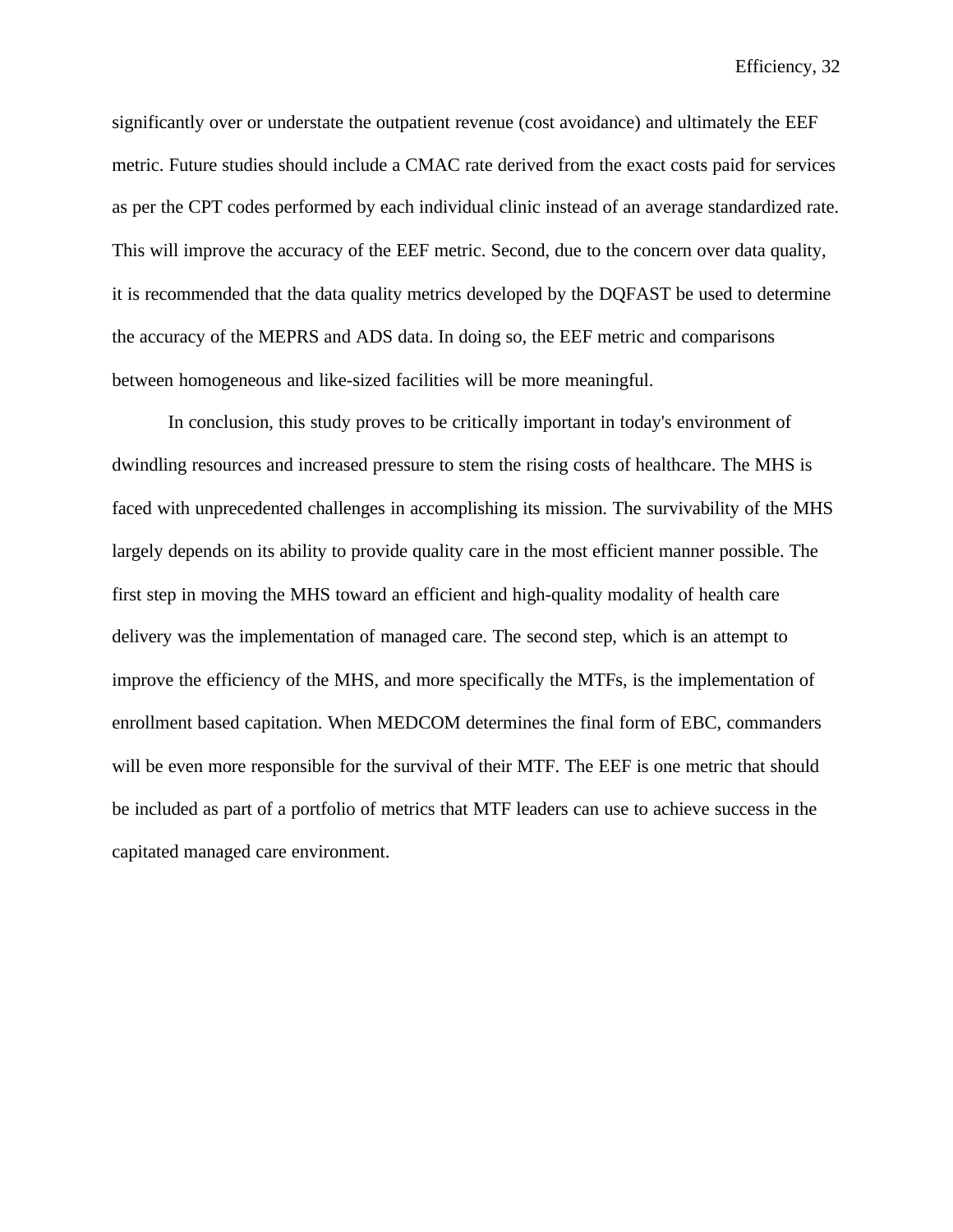significantly over or understate the outpatient revenue (cost avoidance) and ultimately the EEF metric. Future studies should include a CMAC rate derived from the exact costs paid for services as per the CPT codes performed by each individual clinic instead of an average standardized rate. This will improve the accuracy of the EEF metric. Second, due to the concern over data quality, it is recommended that the data quality metrics developed by the DQFAST be used to determine the accuracy of the MEPRS and ADS data. In doing so, the EEF metric and comparisons between homogeneous and like-sized facilities will be more meaningful.

In conclusion, this study proves to be critically important in today's environment of dwindling resources and increased pressure to stem the rising costs of healthcare. The MHS is faced with unprecedented challenges in accomplishing its mission. The survivability of the MHS largely depends on its ability to provide quality care in the most efficient manner possible. The first step in moving the MHS toward an efficient and high-quality modality of health care delivery was the implementation of managed care. The second step, which is an attempt to improve the efficiency of the MHS, and more specifically the MTFs, is the implementation of enrollment based capitation. When MEDCOM determines the final form of EBC, commanders will be even more responsible for the survival of their MTF. The EEF is one metric that should be included as part of a portfolio of metrics that MTF leaders can use to achieve success in the capitated managed care environment.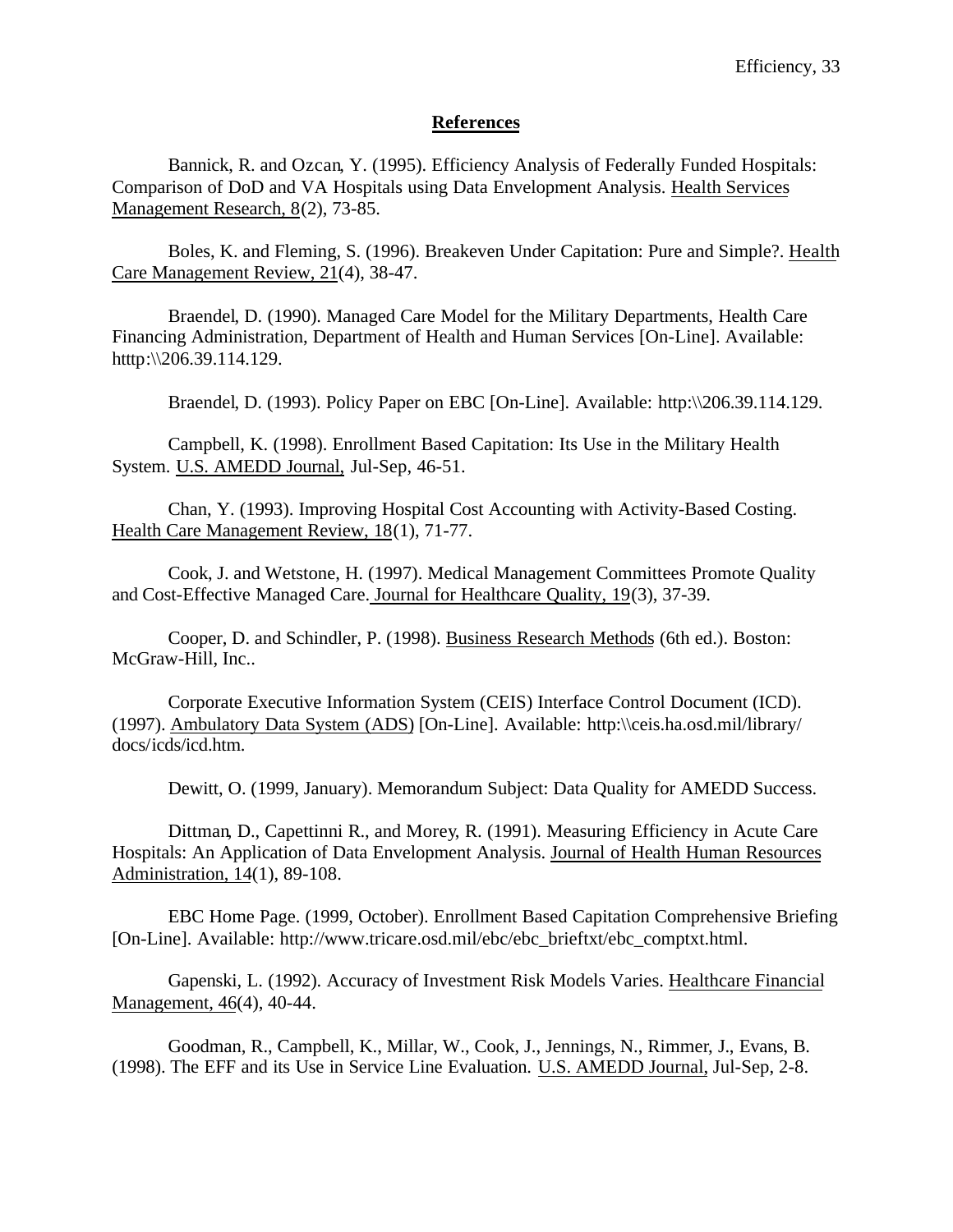## **References**

Bannick, R. and Ozcan, Y. (1995). Efficiency Analysis of Federally Funded Hospitals: Comparison of DoD and VA Hospitals using Data Envelopment Analysis. Health Services Management Research, 8(2), 73-85.

Boles, K. and Fleming, S. (1996). Breakeven Under Capitation: Pure and Simple?. Health Care Management Review, 21(4), 38-47.

Braendel, D. (1990). Managed Care Model for the Military Departments, Health Care Financing Administration, Department of Health and Human Services [On-Line]. Available: htttp:\\206.39.114.129.

Braendel, D. (1993). Policy Paper on EBC [On-Line]. Available: http:\\206.39.114.129.

Campbell, K. (1998). Enrollment Based Capitation: Its Use in the Military Health System. U.S. AMEDD Journal, Jul-Sep, 46-51.

Chan, Y. (1993). Improving Hospital Cost Accounting with Activity-Based Costing. Health Care Management Review, 18(1), 71-77.

Cook, J. and Wetstone, H. (1997). Medical Management Committees Promote Quality and Cost-Effective Managed Care. Journal for Healthcare Quality, 19(3), 37-39.

Cooper, D. and Schindler, P. (1998). Business Research Methods (6th ed.). Boston: McGraw-Hill, Inc..

Corporate Executive Information System (CEIS) Interface Control Document (ICD). (1997). Ambulatory Data System (ADS) [On-Line]. Available: http:\\ceis.ha.osd.mil/library/ docs/icds/icd.htm.

Dewitt, O. (1999, January). Memorandum Subject: Data Quality for AMEDD Success.

Dittman, D., Capettinni R., and Morey, R. (1991). Measuring Efficiency in Acute Care Hospitals: An Application of Data Envelopment Analysis. Journal of Health Human Resources Administration, 14(1), 89-108.

EBC Home Page. (1999, October). Enrollment Based Capitation Comprehensive Briefing [On-Line]. Available: http://www.tricare.osd.mil/ebc/ebc\_brieftxt/ebc\_comptxt.html.

Gapenski, L. (1992). Accuracy of Investment Risk Models Varies. Healthcare Financial Management, 46(4), 40-44.

Goodman, R., Campbell, K., Millar, W., Cook, J., Jennings, N., Rimmer, J., Evans, B. (1998). The EFF and its Use in Service Line Evaluation. U.S. AMEDD Journal, Jul-Sep, 2-8.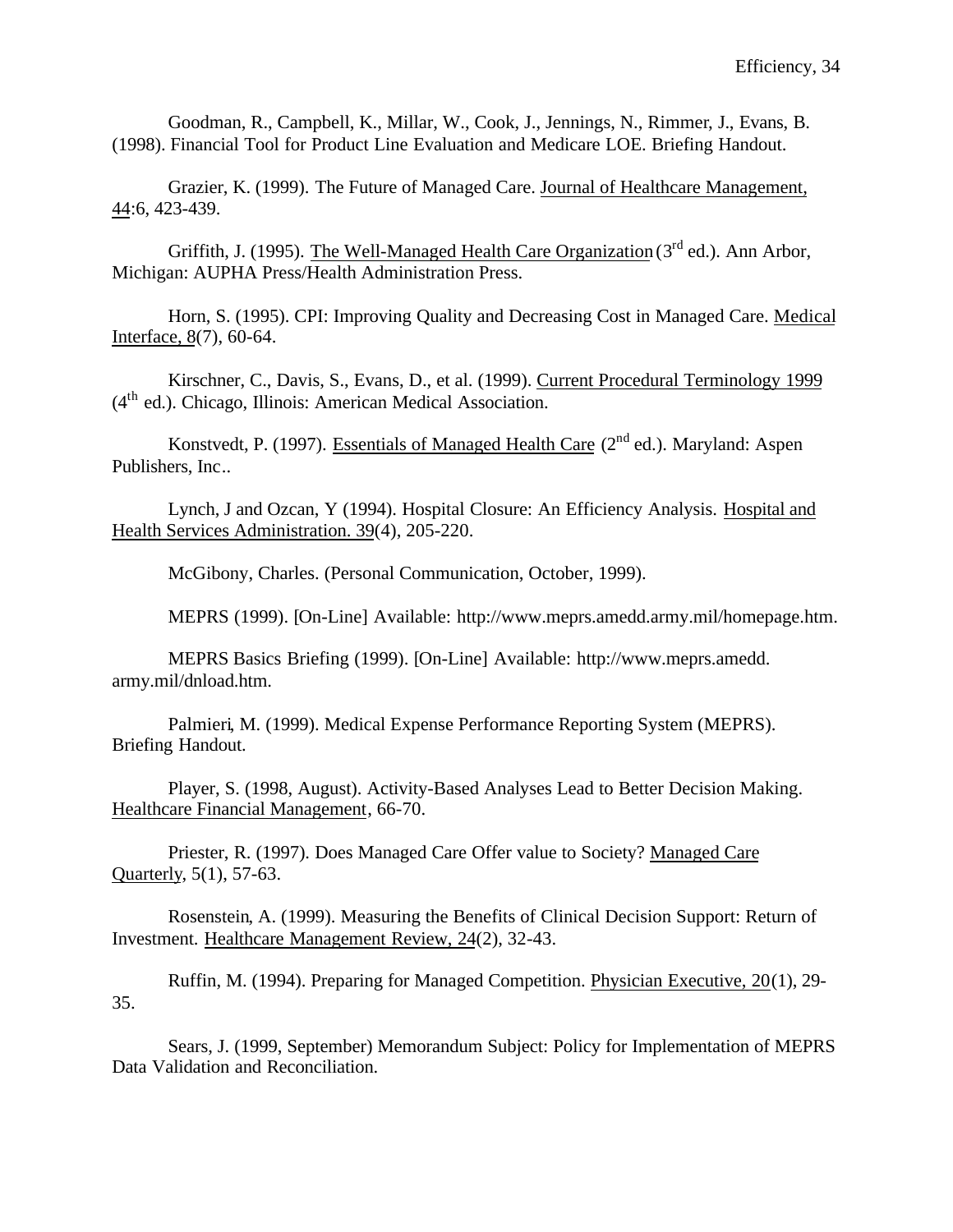Goodman, R., Campbell, K., Millar, W., Cook, J., Jennings, N., Rimmer, J., Evans, B. (1998). Financial Tool for Product Line Evaluation and Medicare LOE. Briefing Handout.

Grazier, K. (1999). The Future of Managed Care. Journal of Healthcare Management, 44:6, 423-439.

Griffith, J. (1995). The Well-Managed Health Care Organization ( $3<sup>rd</sup>$  ed.). Ann Arbor, Michigan: AUPHA Press/Health Administration Press.

Horn, S. (1995). CPI: Improving Quality and Decreasing Cost in Managed Care. Medical Interface, 8(7), 60-64.

Kirschner, C., Davis, S., Evans, D., et al. (1999). Current Procedural Terminology 1999 (4th ed.). Chicago, Illinois: American Medical Association.

Konstvedt, P. (1997). Essentials of Managed Health Care (2<sup>nd</sup> ed.). Maryland: Aspen Publishers, Inc..

Lynch, J and Ozcan, Y (1994). Hospital Closure: An Efficiency Analysis. Hospital and Health Services Administration. 39(4), 205-220.

McGibony, Charles. (Personal Communication, October, 1999).

MEPRS (1999). [On-Line] Available: http://www.meprs.amedd.army.mil/homepage.htm.

MEPRS Basics Briefing (1999). [On-Line] Available: http://www.meprs.amedd. army.mil/dnload.htm.

Palmieri, M. (1999). Medical Expense Performance Reporting System (MEPRS). Briefing Handout.

Player, S. (1998, August). Activity-Based Analyses Lead to Better Decision Making. Healthcare Financial Management, 66-70.

Priester, R. (1997). Does Managed Care Offer value to Society? Managed Care Quarterly, 5(1), 57-63.

Rosenstein, A. (1999). Measuring the Benefits of Clinical Decision Support: Return of Investment. Healthcare Management Review, 24(2), 32-43.

Ruffin, M. (1994). Preparing for Managed Competition. Physician Executive, 20(1), 29- 35.

Sears, J. (1999, September) Memorandum Subject: Policy for Implementation of MEPRS Data Validation and Reconciliation.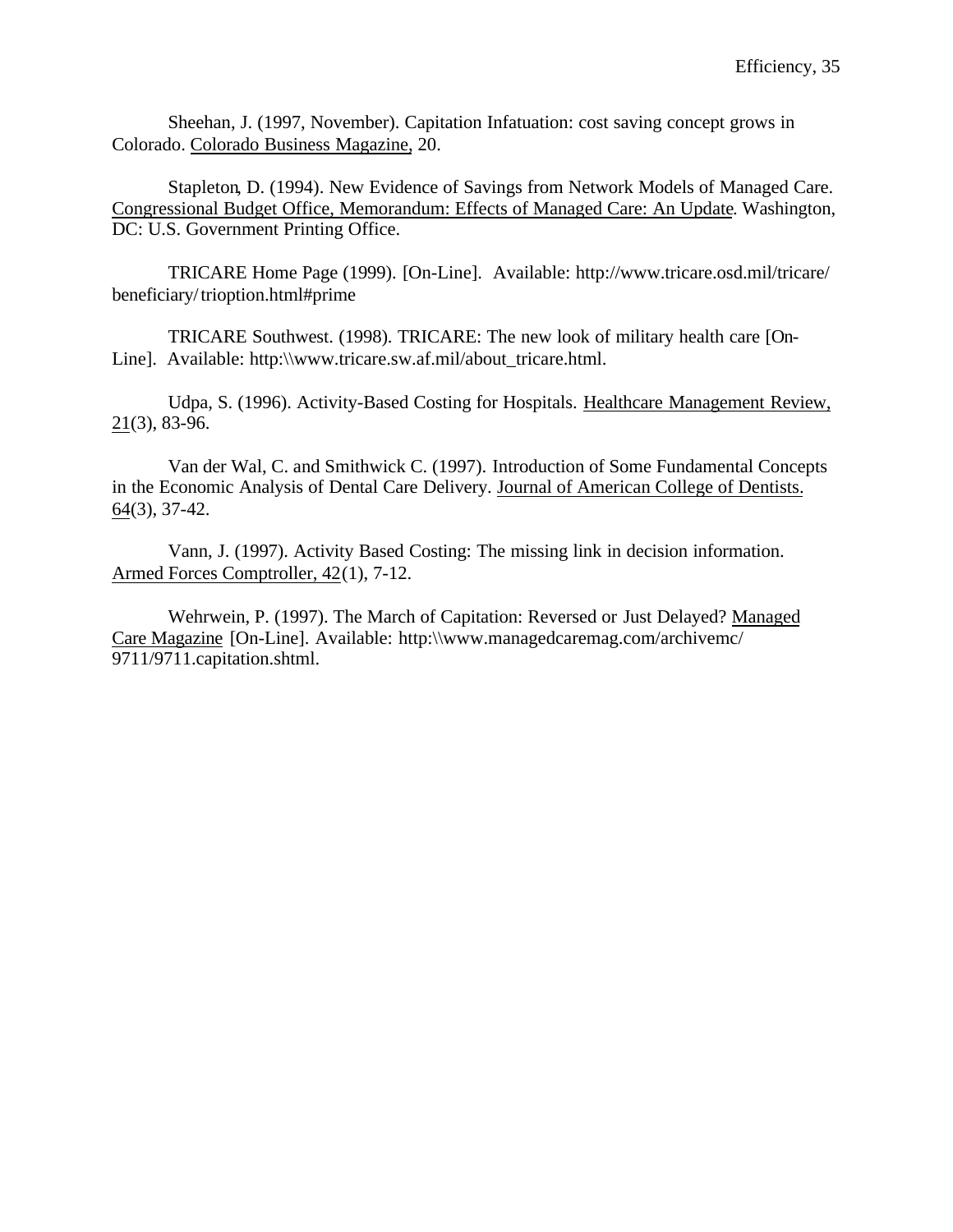Sheehan, J. (1997, November). Capitation Infatuation: cost saving concept grows in Colorado. Colorado Business Magazine, 20.

Stapleton, D. (1994). New Evidence of Savings from Network Models of Managed Care. Congressional Budget Office, Memorandum: Effects of Managed Care: An Update. Washington, DC: U.S. Government Printing Office.

TRICARE Home Page (1999). [On-Line]. Available: http://www.tricare.osd.mil/tricare/ beneficiary/trioption.html#prime

TRICARE Southwest. (1998). TRICARE: The new look of military health care [On-Line]. Available: http:\\www.tricare.sw.af.mil/about\_tricare.html.

Udpa, S. (1996). Activity-Based Costing for Hospitals. Healthcare Management Review, 21(3), 83-96.

Van der Wal, C. and Smithwick C. (1997). Introduction of Some Fundamental Concepts in the Economic Analysis of Dental Care Delivery. Journal of American College of Dentists. 64(3), 37-42.

Vann, J. (1997). Activity Based Costing: The missing link in decision information. Armed Forces Comptroller, 42(1), 7-12.

Wehrwein, P. (1997). The March of Capitation: Reversed or Just Delayed? Managed Care Magazine [On-Line]. Available: http:\\www.managedcaremag.com/archivemc/ 9711/9711.capitation.shtml.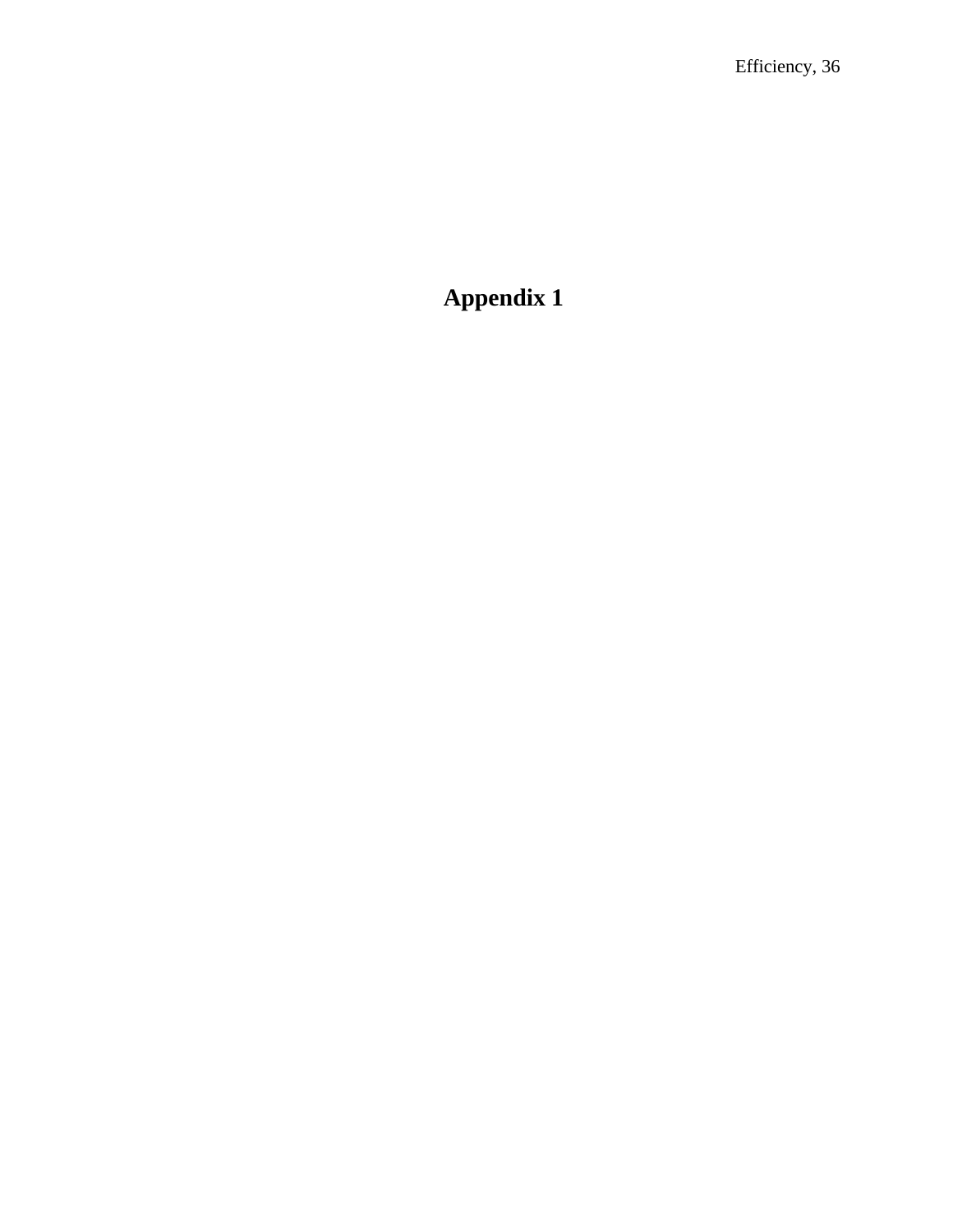# **Appendix 1**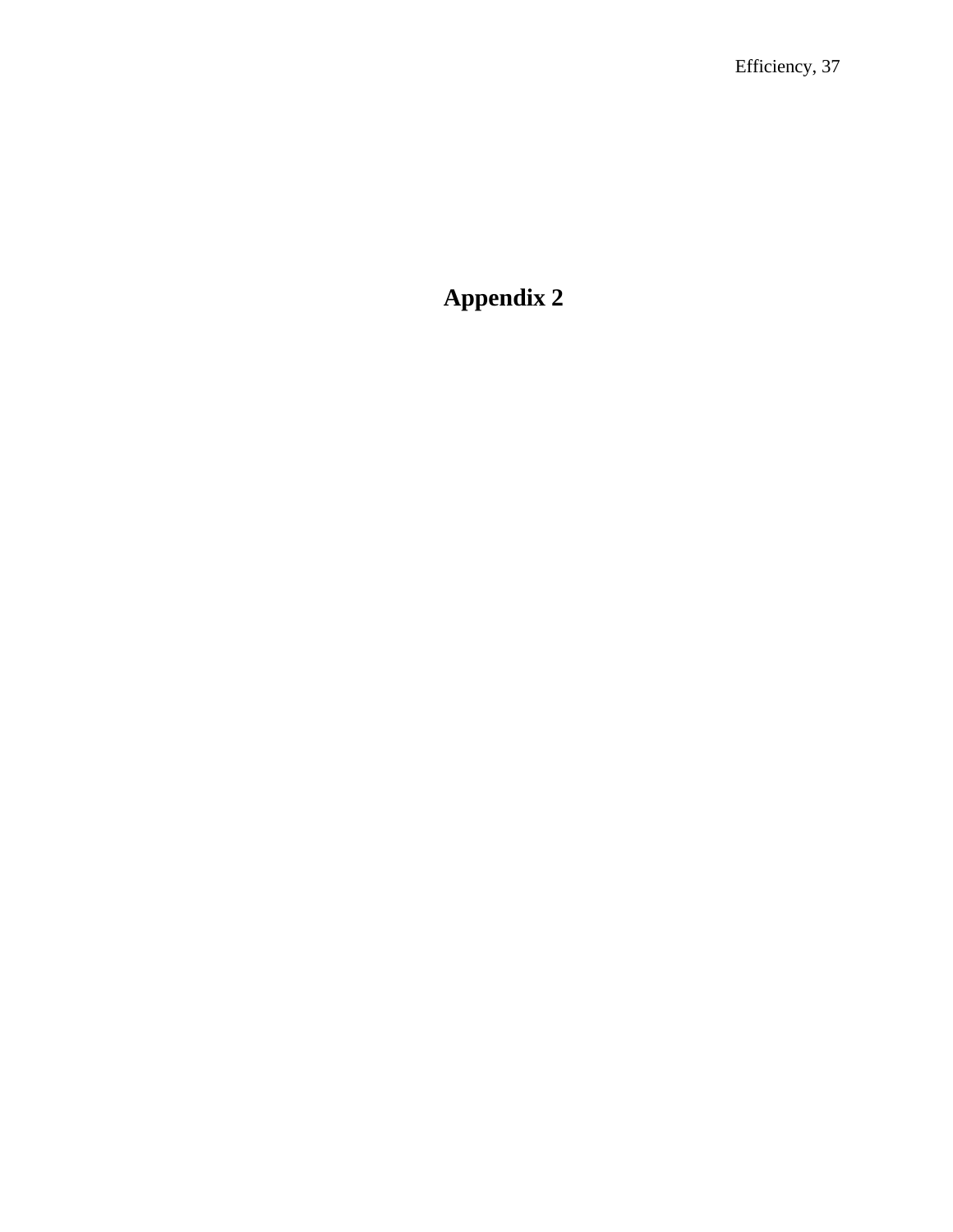# **Appendix 2**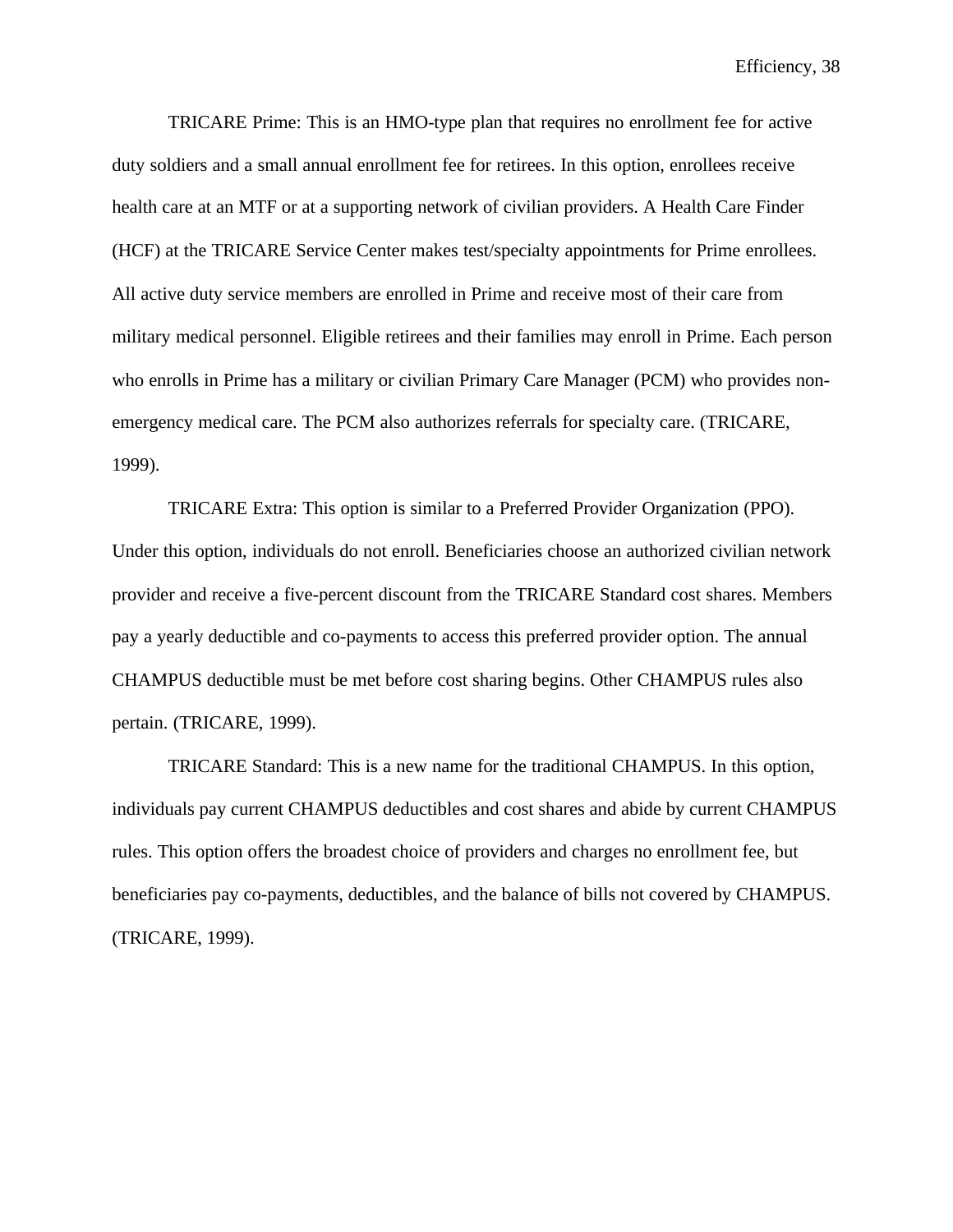TRICARE Prime: This is an HMO-type plan that requires no enrollment fee for active duty soldiers and a small annual enrollment fee for retirees. In this option, enrollees receive health care at an MTF or at a supporting network of civilian providers. A Health Care Finder (HCF) at the TRICARE Service Center makes test/specialty appointments for Prime enrollees. All active duty service members are enrolled in Prime and receive most of their care from military medical personnel. Eligible retirees and their families may enroll in Prime. Each person who enrolls in Prime has a military or civilian Primary Care Manager (PCM) who provides nonemergency medical care. The PCM also authorizes referrals for specialty care. (TRICARE, 1999).

TRICARE Extra: This option is similar to a Preferred Provider Organization (PPO). Under this option, individuals do not enroll. Beneficiaries choose an authorized civilian network provider and receive a five-percent discount from the TRICARE Standard cost shares. Members pay a yearly deductible and co-payments to access this preferred provider option. The annual CHAMPUS deductible must be met before cost sharing begins. Other CHAMPUS rules also pertain. (TRICARE, 1999).

TRICARE Standard: This is a new name for the traditional CHAMPUS. In this option, individuals pay current CHAMPUS deductibles and cost shares and abide by current CHAMPUS rules. This option offers the broadest choice of providers and charges no enrollment fee, but beneficiaries pay co-payments, deductibles, and the balance of bills not covered by CHAMPUS. (TRICARE, 1999).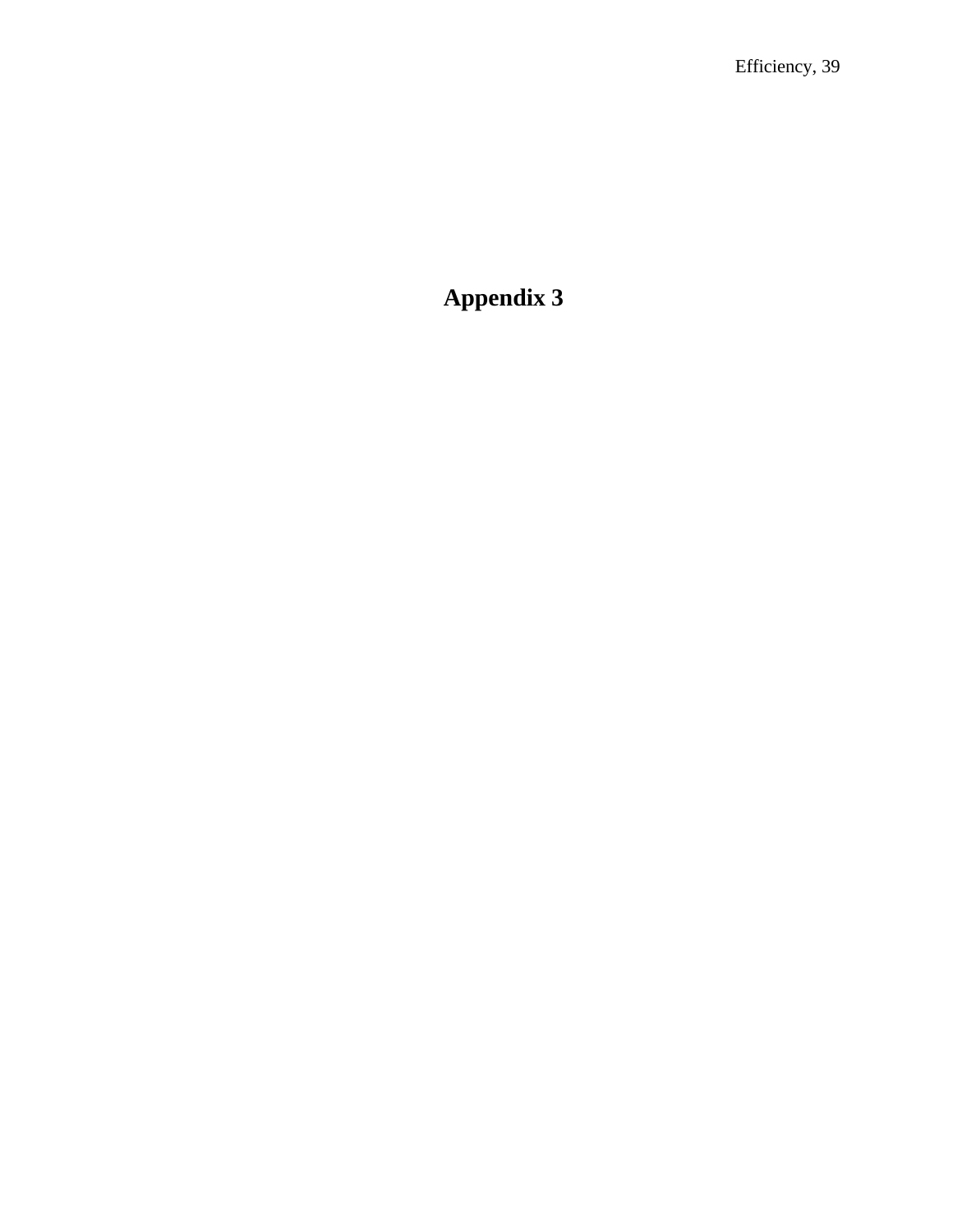# **Appendix 3**